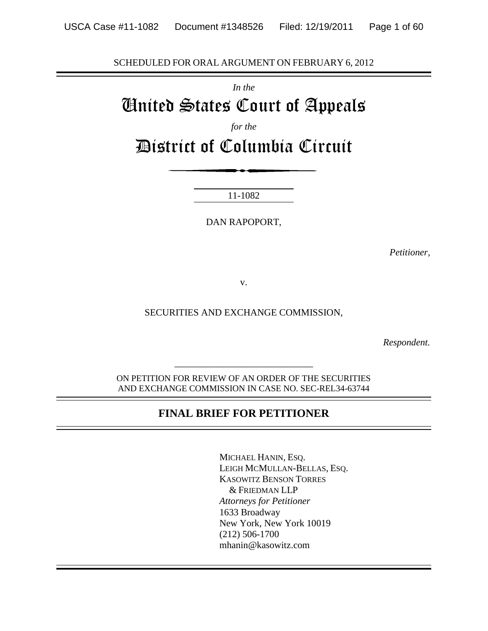SCHEDULED FOR ORAL ARGUMENT ON FEBRUARY 6, 2012

*In the*

# United States Court of Appeals

*for the*

District of Columbia Circuit

11-1082

DAN RAPOPORT,

*Petitioner,*

v.

SECURITIES AND EXCHANGE COMMISSION,

*Respondent.*

ON PETITION FOR REVIEW OF AN ORDER OF THE SECURITIES AND EXCHANGE COMMISSION IN CASE NO. SEC-REL34-63744

*\_\_\_\_\_\_\_\_\_\_\_\_\_\_\_\_\_\_\_\_\_\_\_\_\_\_\_\_\_*

# **FINAL BRIEF FOR PETITIONER**

MICHAEL HANIN, ESQ. LEIGH MCMULLAN-BELLAS, ESQ. KASOWITZ BENSON TORRES & FRIEDMAN LLP *Attorneys for Petitioner* 1633 Broadway New York, New York 10019 (212) 506-1700 mhanin@kasowitz.com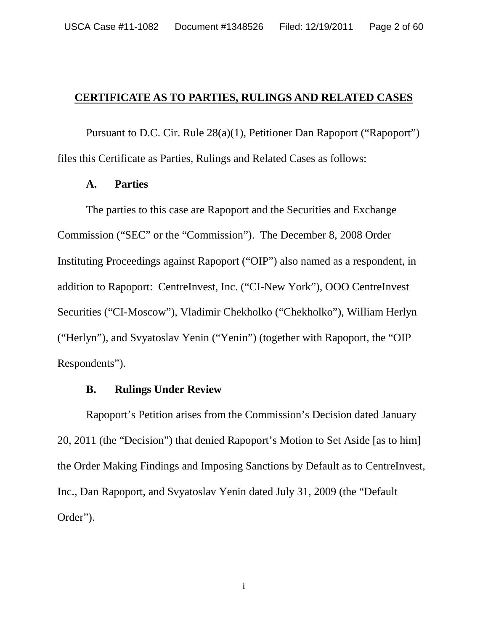### **CERTIFICATE AS TO PARTIES, RULINGS AND RELATED CASES**

Pursuant to D.C. Cir. Rule 28(a)(1), Petitioner Dan Rapoport ("Rapoport") files this Certificate as Parties, Rulings and Related Cases as follows:

#### **A. Parties**

The parties to this case are Rapoport and the Securities and Exchange Commission ("SEC" or the "Commission"). The December 8, 2008 Order Instituting Proceedings against Rapoport ("OIP") also named as a respondent, in addition to Rapoport: CentreInvest, Inc. ("CI-New York"), OOO CentreInvest Securities ("CI-Moscow"), Vladimir Chekholko ("Chekholko"), William Herlyn ("Herlyn"), and Svyatoslav Yenin ("Yenin") (together with Rapoport, the "OIP Respondents").

### **B. Rulings Under Review**

Rapoport's Petition arises from the Commission's Decision dated January 20, 2011 (the "Decision") that denied Rapoport's Motion to Set Aside [as to him] the Order Making Findings and Imposing Sanctions by Default as to CentreInvest, Inc., Dan Rapoport, and Svyatoslav Yenin dated July 31, 2009 (the "Default Order").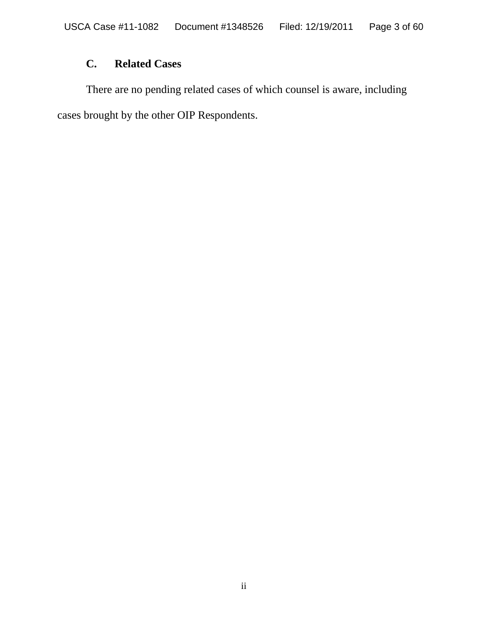# **C. Related Cases**

There are no pending related cases of which counsel is aware, including cases brought by the other OIP Respondents.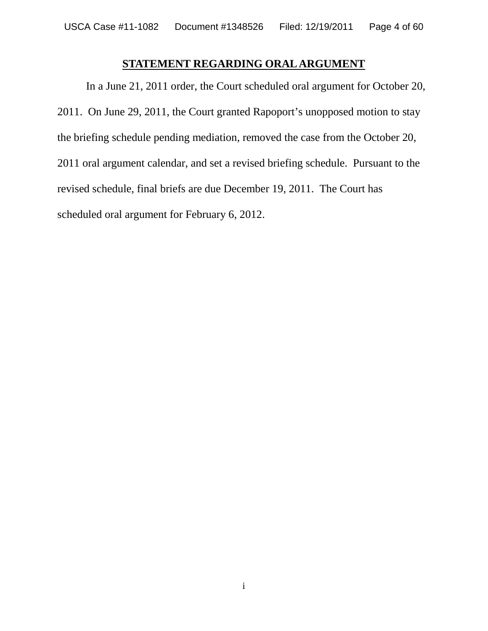# **STATEMENT REGARDING ORAL ARGUMENT**

In a June 21, 2011 order, the Court scheduled oral argument for October 20, 2011. On June 29, 2011, the Court granted Rapoport's unopposed motion to stay the briefing schedule pending mediation, removed the case from the October 20, 2011 oral argument calendar, and set a revised briefing schedule. Pursuant to the revised schedule, final briefs are due December 19, 2011. The Court has scheduled oral argument for February 6, 2012.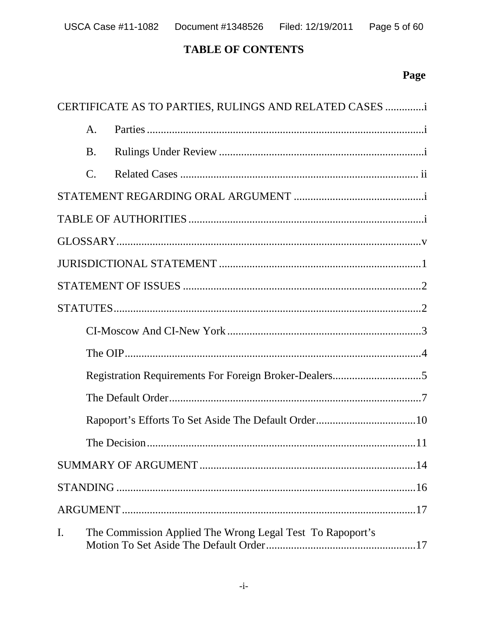# **TABLE OF CONTENTS**

# Page

|    |                 | CERTIFICATE AS TO PARTIES, RULINGS AND RELATED CASES i    |
|----|-----------------|-----------------------------------------------------------|
|    | $\mathsf{A}.$   |                                                           |
|    | <b>B.</b>       |                                                           |
|    | $\mathcal{C}$ . |                                                           |
|    |                 |                                                           |
|    |                 |                                                           |
|    |                 |                                                           |
|    |                 |                                                           |
|    |                 |                                                           |
|    |                 |                                                           |
|    |                 |                                                           |
|    |                 |                                                           |
|    |                 |                                                           |
|    |                 |                                                           |
|    |                 |                                                           |
|    |                 |                                                           |
|    |                 |                                                           |
|    |                 |                                                           |
|    |                 |                                                           |
| I. |                 | The Commission Applied The Wrong Legal Test To Rapoport's |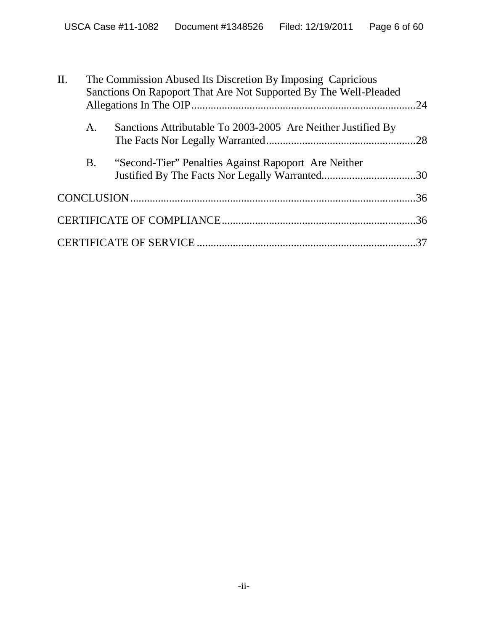| II. | The Commission Abused Its Discretion By Imposing Capricious<br>Sanctions On Rapoport That Are Not Supported By The Well-Pleaded |                                                              |  |
|-----|---------------------------------------------------------------------------------------------------------------------------------|--------------------------------------------------------------|--|
|     | A.                                                                                                                              | Sanctions Attributable To 2003-2005 Are Neither Justified By |  |
|     | <b>B</b> .                                                                                                                      | "Second-Tier" Penalties Against Rapoport Are Neither         |  |
|     |                                                                                                                                 |                                                              |  |
|     |                                                                                                                                 |                                                              |  |
|     |                                                                                                                                 |                                                              |  |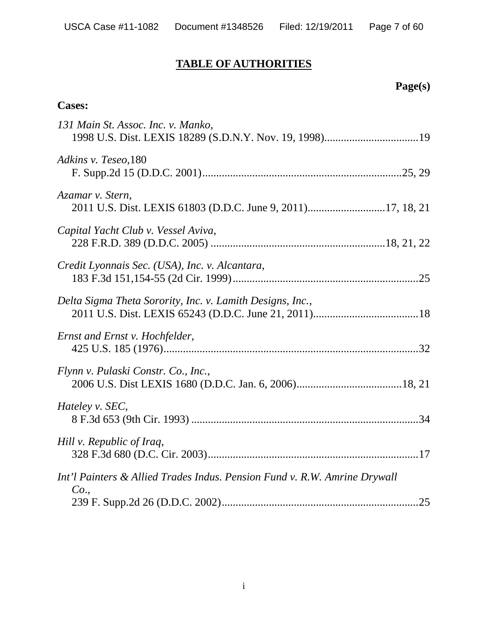# **TABLE OF AUTHORITIES**

# **Page(s)**

# **Cases:**

| 131 Main St. Assoc. Inc. v. Manko,                                               |
|----------------------------------------------------------------------------------|
| Adkins v. Teseo, 180                                                             |
| Azamar v. Stern,                                                                 |
| Capital Yacht Club v. Vessel Aviva,                                              |
| Credit Lyonnais Sec. (USA), Inc. v. Alcantara,                                   |
| Delta Sigma Theta Sorority, Inc. v. Lamith Designs, Inc.,                        |
| Ernst and Ernst v. Hochfelder,                                                   |
| Flynn v. Pulaski Constr. Co., Inc.,                                              |
| Hateley v. SEC,                                                                  |
| Hill v. Republic of Iraq,                                                        |
| Int'l Painters & Allied Trades Indus. Pension Fund v. R.W. Amrine Drywall<br>Co. |
|                                                                                  |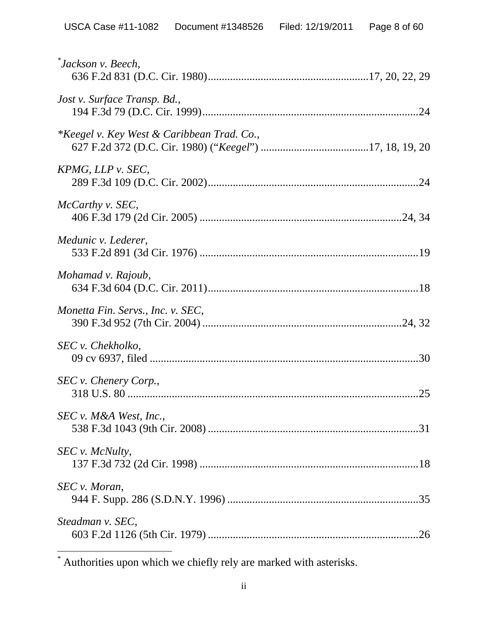| Jackson v. Beech,                                     |
|-------------------------------------------------------|
| Jost v. Surface Transp. Bd.,                          |
| <i>*Keegel v. Key West &amp; Caribbean Trad. Co.,</i> |
| $KPMG$ , LLP v. SEC,                                  |
| McCarthy v. SEC,                                      |
| Medunic v. Lederer,                                   |
| Mohamad v. Rajoub,                                    |
| Monetta Fin. Servs., Inc. v. SEC,                     |
| SEC v. Chekholko,                                     |
| SEC v. Chenery Corp.,                                 |
| SEC v. M&A West, Inc.,                                |
| SEC v. McNulty,                                       |
| SEC v. Moran,                                         |
| Steadman v. SEC,                                      |

\* Authorities upon which we chiefly rely are marked with asterisks.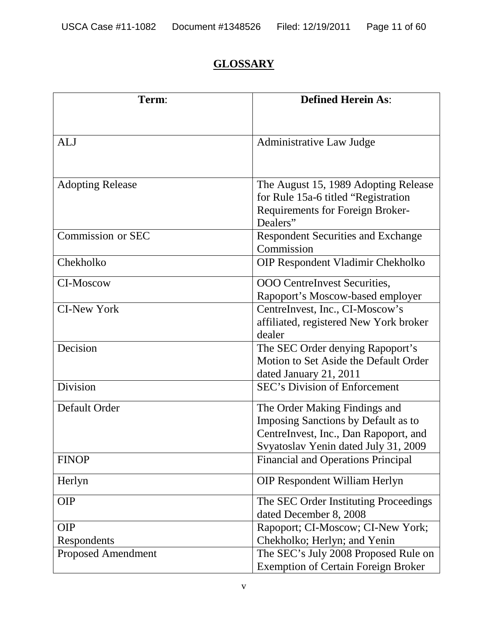# **GLOSSARY**

| Term:                     | <b>Defined Herein As:</b>                    |  |  |
|---------------------------|----------------------------------------------|--|--|
|                           |                                              |  |  |
| <b>ALJ</b>                | <b>Administrative Law Judge</b>              |  |  |
|                           |                                              |  |  |
| <b>Adopting Release</b>   | The August 15, 1989 Adopting Release         |  |  |
|                           | for Rule 15a-6 titled "Registration"         |  |  |
|                           | Requirements for Foreign Broker-<br>Dealers" |  |  |
| Commission or SEC         | <b>Respondent Securities and Exchange</b>    |  |  |
|                           | Commission                                   |  |  |
| Chekholko                 | OIP Respondent Vladimir Chekholko            |  |  |
| CI-Moscow                 | <b>OOO</b> CentreInvest Securities,          |  |  |
|                           | Rapoport's Moscow-based employer             |  |  |
| <b>CI-New York</b>        | CentreInvest, Inc., CI-Moscow's              |  |  |
|                           | affiliated, registered New York broker       |  |  |
|                           | dealer                                       |  |  |
| Decision                  | The SEC Order denying Rapoport's             |  |  |
|                           | Motion to Set Aside the Default Order        |  |  |
|                           | dated January 21, 2011                       |  |  |
| Division                  | <b>SEC's Division of Enforcement</b>         |  |  |
| Default Order             | The Order Making Findings and                |  |  |
|                           | Imposing Sanctions by Default as to          |  |  |
|                           | CentreInvest, Inc., Dan Rapoport, and        |  |  |
|                           | Svyatoslav Yenin dated July 31, 2009         |  |  |
| <b>FINOP</b>              | <b>Financial and Operations Principal</b>    |  |  |
| Herlyn                    | <b>OIP Respondent William Herlyn</b>         |  |  |
| <b>OIP</b>                | The SEC Order Instituting Proceedings        |  |  |
|                           | dated December 8, 2008                       |  |  |
| <b>OIP</b>                | Rapoport; CI-Moscow; CI-New York;            |  |  |
| Respondents               | Chekholko; Herlyn; and Yenin                 |  |  |
| <b>Proposed Amendment</b> | The SEC's July 2008 Proposed Rule on         |  |  |
|                           | <b>Exemption of Certain Foreign Broker</b>   |  |  |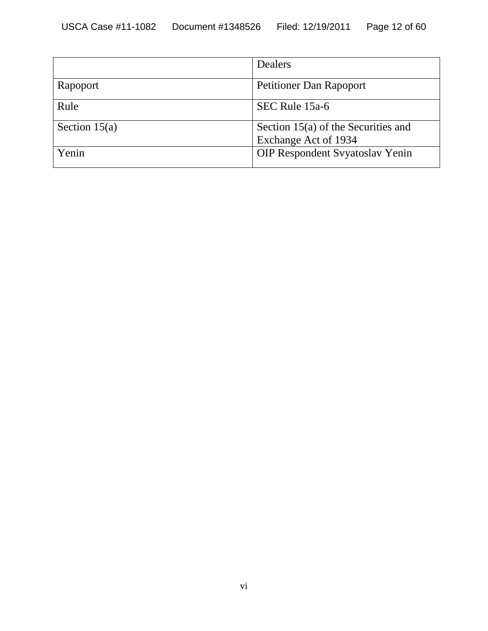|                 | Dealers                                |
|-----------------|----------------------------------------|
| Rapoport        | Petitioner Dan Rapoport                |
| Rule            | SEC Rule 15a-6                         |
| Section $15(a)$ | Section $15(a)$ of the Securities and  |
|                 | Exchange Act of 1934                   |
| Yenin           | <b>OIP Respondent Syyatoslav Yenin</b> |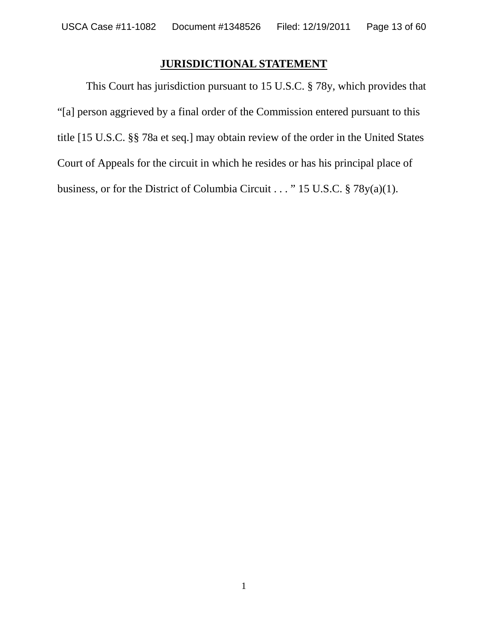# **JURISDICTIONAL STATEMENT**

This Court has jurisdiction pursuant to 15 U.S.C. § 78y, which provides that "[a] person aggrieved by a final order of the Commission entered pursuant to this title [15 U.S.C. §§ 78a et seq.] may obtain review of the order in the United States Court of Appeals for the circuit in which he resides or has his principal place of business, or for the District of Columbia Circuit . . . " 15 U.S.C. § 78y(a)(1).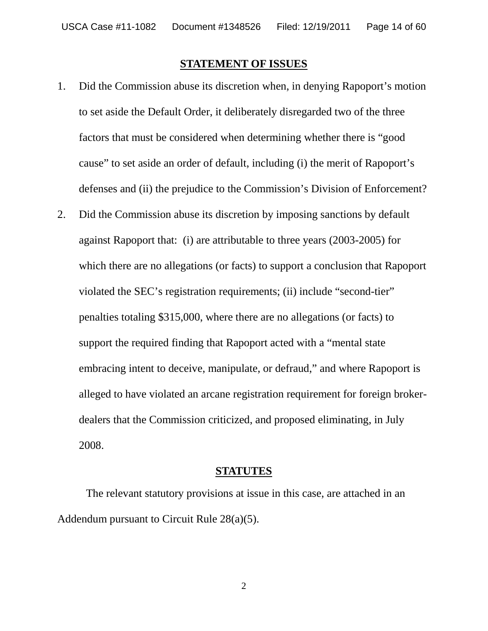#### **STATEMENT OF ISSUES**

- 1. Did the Commission abuse its discretion when, in denying Rapoport's motion to set aside the Default Order, it deliberately disregarded two of the three factors that must be considered when determining whether there is "good cause" to set aside an order of default, including (i) the merit of Rapoport's defenses and (ii) the prejudice to the Commission's Division of Enforcement?
- 2. Did the Commission abuse its discretion by imposing sanctions by default against Rapoport that: (i) are attributable to three years (2003-2005) for which there are no allegations (or facts) to support a conclusion that Rapoport violated the SEC's registration requirements; (ii) include "second-tier" penalties totaling \$315,000, where there are no allegations (or facts) to support the required finding that Rapoport acted with a "mental state embracing intent to deceive, manipulate, or defraud," and where Rapoport is alleged to have violated an arcane registration requirement for foreign brokerdealers that the Commission criticized, and proposed eliminating, in July 2008.

#### **STATUTES**

The relevant statutory provisions at issue in this case, are attached in an Addendum pursuant to Circuit Rule 28(a)(5).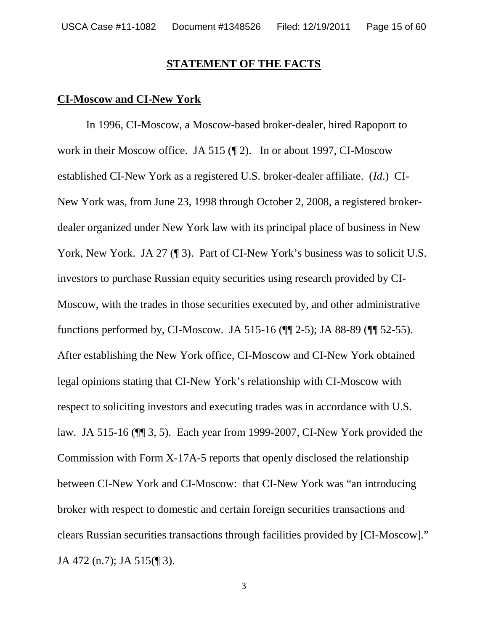#### **STATEMENT OF THE FACTS**

#### **CI-Moscow and CI-New York**

In 1996, CI-Moscow, a Moscow-based broker-dealer, hired Rapoport to work in their Moscow office. JA 515 (¶ 2). In or about 1997, CI-Moscow established CI-New York as a registered U.S. broker-dealer affiliate. (*Id*.) CI-New York was, from June 23, 1998 through October 2, 2008, a registered brokerdealer organized under New York law with its principal place of business in New York, New York. JA 27 (¶ 3). Part of CI-New York's business was to solicit U.S. investors to purchase Russian equity securities using research provided by CI-Moscow, with the trades in those securities executed by, and other administrative functions performed by, CI-Moscow. JA 515-16 (¶¶ 2-5); JA 88-89 (¶¶ 52-55). After establishing the New York office, CI-Moscow and CI-New York obtained legal opinions stating that CI-New York's relationship with CI-Moscow with respect to soliciting investors and executing trades was in accordance with U.S. law. JA 515-16 (¶¶ 3, 5). Each year from 1999-2007, CI-New York provided the Commission with Form X-17A-5 reports that openly disclosed the relationship between CI-New York and CI-Moscow: that CI-New York was "an introducing broker with respect to domestic and certain foreign securities transactions and clears Russian securities transactions through facilities provided by [CI-Moscow]." JA 472 (n.7); JA 515(¶ 3).

3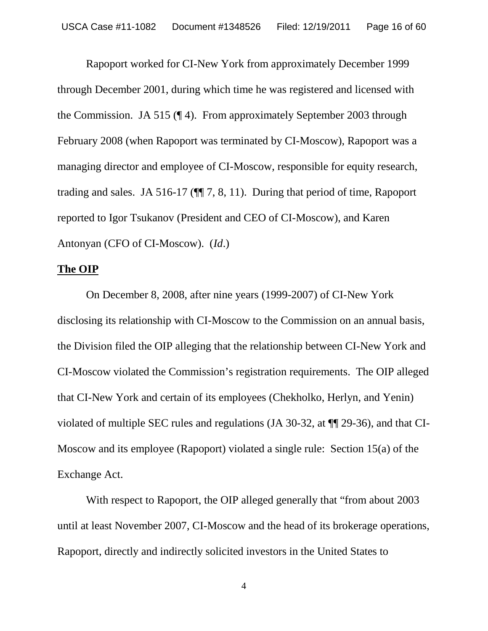Rapoport worked for CI-New York from approximately December 1999 through December 2001, during which time he was registered and licensed with the Commission. JA 515 (¶ 4). From approximately September 2003 through February 2008 (when Rapoport was terminated by CI-Moscow), Rapoport was a managing director and employee of CI-Moscow, responsible for equity research, trading and sales. JA 516-17 (¶¶ 7, 8, 11). During that period of time, Rapoport reported to Igor Tsukanov (President and CEO of CI-Moscow), and Karen Antonyan (CFO of CI-Moscow). (*Id*.)

#### **The OIP**

On December 8, 2008, after nine years (1999-2007) of CI-New York disclosing its relationship with CI-Moscow to the Commission on an annual basis, the Division filed the OIP alleging that the relationship between CI-New York and CI-Moscow violated the Commission's registration requirements. The OIP alleged that CI-New York and certain of its employees (Chekholko, Herlyn, and Yenin) violated of multiple SEC rules and regulations (JA 30-32, at ¶¶ 29-36), and that CI-Moscow and its employee (Rapoport) violated a single rule: Section 15(a) of the Exchange Act.

With respect to Rapoport, the OIP alleged generally that "from about 2003 until at least November 2007, CI-Moscow and the head of its brokerage operations, Rapoport, directly and indirectly solicited investors in the United States to

4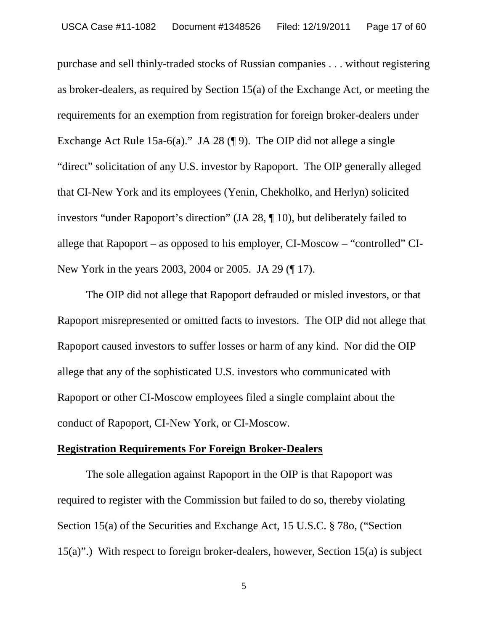purchase and sell thinly-traded stocks of Russian companies . . . without registering as broker-dealers, as required by Section 15(a) of the Exchange Act, or meeting the requirements for an exemption from registration for foreign broker-dealers under Exchange Act Rule 15a-6(a)." JA 28 (¶ 9). The OIP did not allege a single "direct" solicitation of any U.S. investor by Rapoport. The OIP generally alleged that CI-New York and its employees (Yenin, Chekholko, and Herlyn) solicited investors "under Rapoport's direction" (JA 28, ¶ 10), but deliberately failed to allege that Rapoport – as opposed to his employer, CI-Moscow – "controlled" CI-New York in the years 2003, 2004 or 2005. JA 29 (¶ 17).

The OIP did not allege that Rapoport defrauded or misled investors, or that Rapoport misrepresented or omitted facts to investors. The OIP did not allege that Rapoport caused investors to suffer losses or harm of any kind. Nor did the OIP allege that any of the sophisticated U.S. investors who communicated with Rapoport or other CI-Moscow employees filed a single complaint about the conduct of Rapoport, CI-New York, or CI-Moscow.

#### **Registration Requirements For Foreign Broker-Dealers**

The sole allegation against Rapoport in the OIP is that Rapoport was required to register with the Commission but failed to do so, thereby violating Section 15(a) of the Securities and Exchange Act, 15 U.S.C. § 78o, ("Section 15(a)".) With respect to foreign broker-dealers, however, Section 15(a) is subject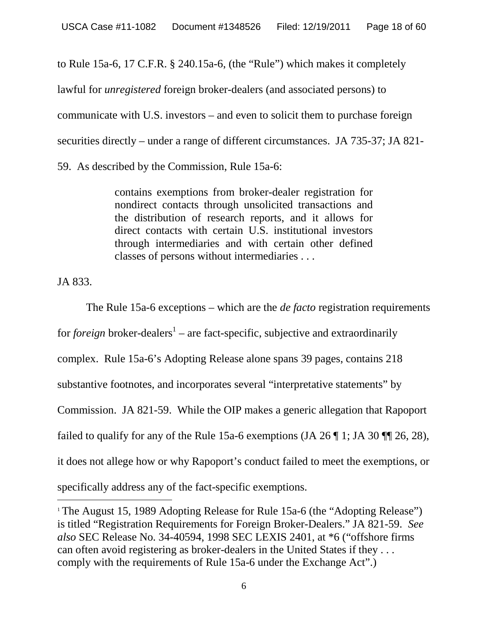to Rule 15a-6, 17 C.F.R. § 240.15a-6, (the "Rule") which makes it completely

lawful for *unregistered* foreign broker-dealers (and associated persons) to

communicate with U.S. investors – and even to solicit them to purchase foreign

securities directly – under a range of different circumstances. JA 735-37; JA 821-

59. As described by the Commission, Rule 15a-6:

contains exemptions from broker-dealer registration for nondirect contacts through unsolicited transactions and the distribution of research reports, and it allows for direct contacts with certain U.S. institutional investors through intermediaries and with certain other defined classes of persons without intermediaries . . .

JA 833.

The Rule 15a-6 exceptions – which are the *de facto* registration requirements for *foreign* broker-dealers<sup>1</sup> – are fact-specific, subjective and extraordinarily complex. Rule 15a-6's Adopting Release alone spans 39 pages, contains 218 substantive footnotes, and incorporates several "interpretative statements" by Commission. JA 821-59. While the OIP makes a generic allegation that Rapoport failed to qualify for any of the Rule 15a-6 exemptions (JA 26  $\parallel$  1; JA 30  $\parallel$  26, 28), it does not allege how or why Rapoport's conduct failed to meet the exemptions, or specifically address any of the fact-specific exemptions.

<sup>&</sup>lt;sup>1</sup> The August 15, 1989 Adopting Release for Rule 15a-6 (the "Adopting Release") is titled "Registration Requirements for Foreign Broker-Dealers." JA 821-59. *See also* SEC Release No. 34-40594, 1998 SEC LEXIS 2401, at \*6 ("offshore firms can often avoid registering as broker-dealers in the United States if they . . . comply with the requirements of Rule 15a-6 under the Exchange Act".)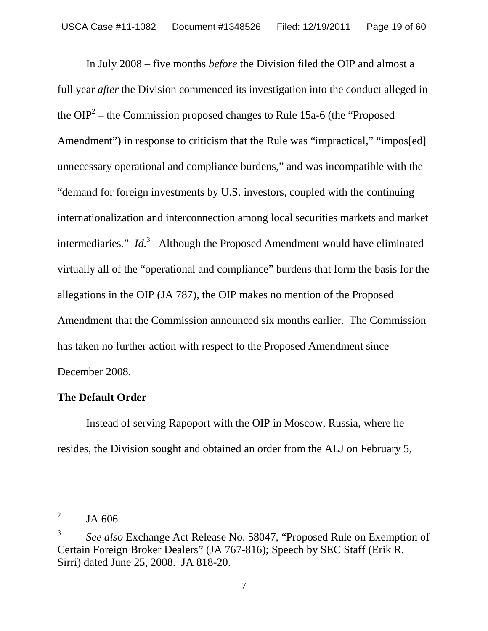In July 2008 – five months *before* the Division filed the OIP and almost a full year *after* the Division commenced its investigation into the conduct alleged in the OIP<sup>2</sup> – the Commission proposed changes to Rule 15a-6 (the "Proposed") Amendment") in response to criticism that the Rule was "impractical," "impos[ed] unnecessary operational and compliance burdens," and was incompatible with the "demand for foreign investments by U.S. investors, coupled with the continuing internationalization and interconnection among local securities markets and market intermediaries." *Id.*<sup>3</sup> Although the Proposed Amendment would have eliminated virtually all of the "operational and compliance" burdens that form the basis for the allegations in the OIP (JA 787), the OIP makes no mention of the Proposed Amendment that the Commission announced six months earlier. The Commission has taken no further action with respect to the Proposed Amendment since December 2008.

# **The Default Order**

Instead of serving Rapoport with the OIP in Moscow, Russia, where he resides, the Division sought and obtained an order from the ALJ on February 5,

<sup>2</sup> JA 606

<sup>3</sup> *See also* Exchange Act Release No. 58047, "Proposed Rule on Exemption of Certain Foreign Broker Dealers" (JA 767-816); Speech by SEC Staff (Erik R. Sirri) dated June 25, 2008. JA 818-20.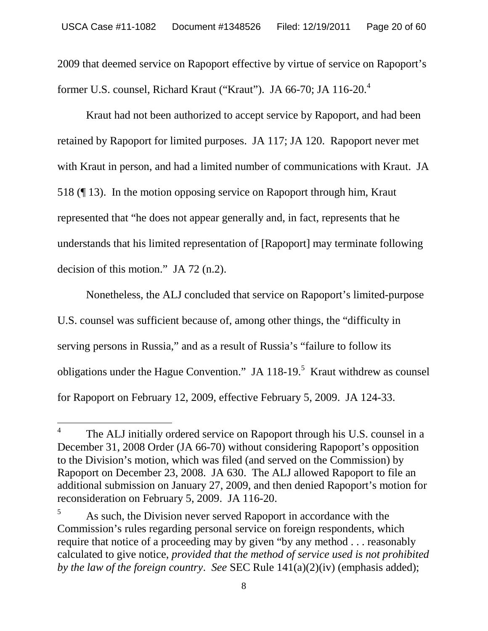2009 that deemed service on Rapoport effective by virtue of service on Rapoport's former U.S. counsel, Richard Kraut ("Kraut"). JA 66-70; JA 116-20.<sup>4</sup>

Kraut had not been authorized to accept service by Rapoport, and had been retained by Rapoport for limited purposes. JA 117; JA 120. Rapoport never met with Kraut in person, and had a limited number of communications with Kraut. JA 518 (¶ 13). In the motion opposing service on Rapoport through him, Kraut represented that "he does not appear generally and, in fact, represents that he understands that his limited representation of [Rapoport] may terminate following decision of this motion." JA 72 (n.2).

Nonetheless, the ALJ concluded that service on Rapoport's limited-purpose U.S. counsel was sufficient because of, among other things, the "difficulty in serving persons in Russia," and as a result of Russia's "failure to follow its obligations under the Hague Convention." JA  $118-19$ <sup>5</sup> Kraut withdrew as counsel for Rapoport on February 12, 2009, effective February 5, 2009. JA 124-33.

<sup>4</sup> The ALJ initially ordered service on Rapoport through his U.S. counsel in a December 31, 2008 Order (JA 66-70) without considering Rapoport's opposition to the Division's motion, which was filed (and served on the Commission) by Rapoport on December 23, 2008. JA 630. The ALJ allowed Rapoport to file an additional submission on January 27, 2009, and then denied Rapoport's motion for reconsideration on February 5, 2009. JA 116-20.

 $5$  As such, the Division never served Rapoport in accordance with the Commission's rules regarding personal service on foreign respondents, which require that notice of a proceeding may by given "by any method . . . reasonably calculated to give notice, *provided that the method of service used is not prohibited by the law of the foreign country*. *See* SEC Rule 141(a)(2)(iv) (emphasis added);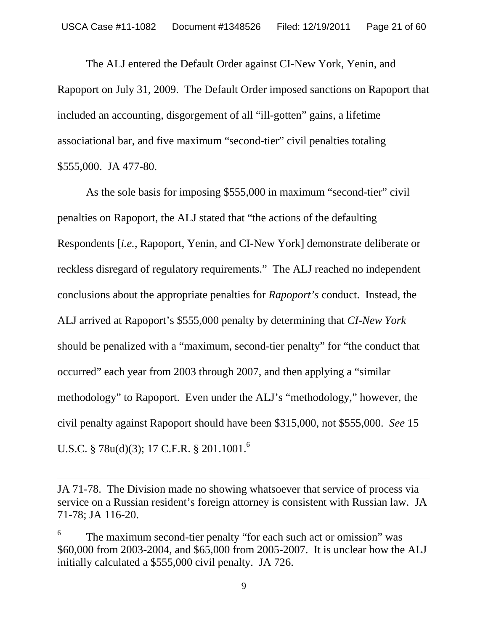The ALJ entered the Default Order against CI-New York, Yenin, and Rapoport on July 31, 2009. The Default Order imposed sanctions on Rapoport that included an accounting, disgorgement of all "ill-gotten" gains, a lifetime associational bar, and five maximum "second-tier" civil penalties totaling \$555,000. JA 477-80.

As the sole basis for imposing \$555,000 in maximum "second-tier" civil penalties on Rapoport, the ALJ stated that "the actions of the defaulting Respondents [*i.e.*, Rapoport, Yenin, and CI-New York] demonstrate deliberate or reckless disregard of regulatory requirements." The ALJ reached no independent conclusions about the appropriate penalties for *Rapoport's* conduct. Instead, the ALJ arrived at Rapoport's \$555,000 penalty by determining that *CI-New York* should be penalized with a "maximum, second-tier penalty" for "the conduct that occurred" each year from 2003 through 2007, and then applying a "similar methodology" to Rapoport. Even under the ALJ's "methodology," however, the civil penalty against Rapoport should have been \$315,000, not \$555,000. *See* 15 U.S.C. § 78u(d)(3); 17 C.F.R. § 201.1001.<sup>6</sup>

JA 71-78. The Division made no showing whatsoever that service of process via service on a Russian resident's foreign attorney is consistent with Russian law. JA 71-78; JA 116-20.

<sup>6</sup> The maximum second-tier penalty "for each such act or omission" was \$60,000 from 2003-2004, and \$65,000 from 2005-2007. It is unclear how the ALJ initially calculated a \$555,000 civil penalty. JA 726.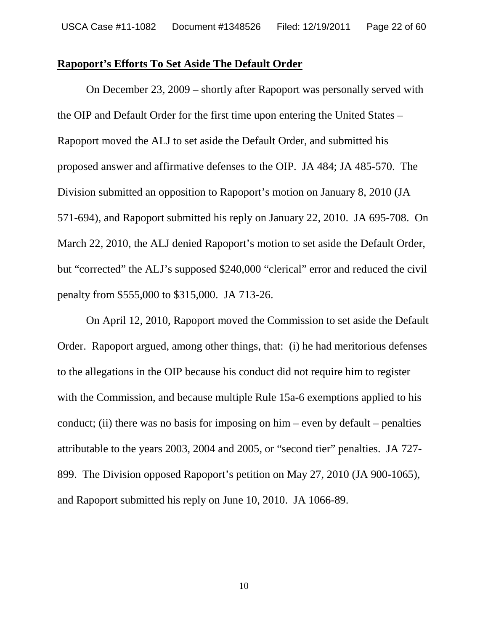#### **Rapoport's Efforts To Set Aside The Default Order**

On December 23, 2009 – shortly after Rapoport was personally served with the OIP and Default Order for the first time upon entering the United States – Rapoport moved the ALJ to set aside the Default Order, and submitted his proposed answer and affirmative defenses to the OIP. JA 484; JA 485-570. The Division submitted an opposition to Rapoport's motion on January 8, 2010 (JA 571-694), and Rapoport submitted his reply on January 22, 2010. JA 695-708. On March 22, 2010, the ALJ denied Rapoport's motion to set aside the Default Order, but "corrected" the ALJ's supposed \$240,000 "clerical" error and reduced the civil penalty from \$555,000 to \$315,000. JA 713-26.

On April 12, 2010, Rapoport moved the Commission to set aside the Default Order. Rapoport argued, among other things, that: (i) he had meritorious defenses to the allegations in the OIP because his conduct did not require him to register with the Commission, and because multiple Rule 15a-6 exemptions applied to his conduct; (ii) there was no basis for imposing on him – even by default – penalties attributable to the years 2003, 2004 and 2005, or "second tier" penalties. JA 727- 899. The Division opposed Rapoport's petition on May 27, 2010 (JA 900-1065), and Rapoport submitted his reply on June 10, 2010. JA 1066-89.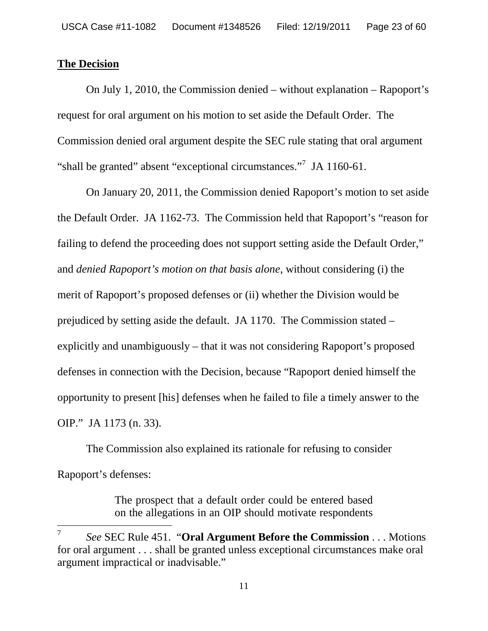### **The Decision**

On July 1, 2010, the Commission denied – without explanation – Rapoport's request for oral argument on his motion to set aside the Default Order. The Commission denied oral argument despite the SEC rule stating that oral argument "shall be granted" absent "exceptional circumstances."<sup>7</sup> JA 1160-61.

On January 20, 2011, the Commission denied Rapoport's motion to set aside the Default Order. JA 1162-73. The Commission held that Rapoport's "reason for failing to defend the proceeding does not support setting aside the Default Order," and *denied Rapoport's motion on that basis alone*, without considering (i) the merit of Rapoport's proposed defenses or (ii) whether the Division would be prejudiced by setting aside the default. JA 1170. The Commission stated – explicitly and unambiguously – that it was not considering Rapoport's proposed defenses in connection with the Decision, because "Rapoport denied himself the opportunity to present [his] defenses when he failed to file a timely answer to the OIP." JA 1173 (n. 33).

The Commission also explained its rationale for refusing to consider Rapoport's defenses:

> The prospect that a default order could be entered based on the allegations in an OIP should motivate respondents

<sup>7</sup> *See* SEC Rule 451. "**Oral Argument Before the Commission** . . . Motions for oral argument . . . shall be granted unless exceptional circumstances make oral argument impractical or inadvisable."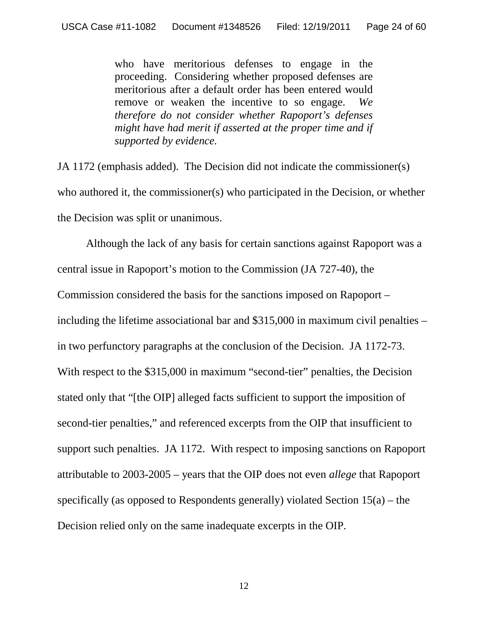who have meritorious defenses to engage in the proceeding. Considering whether proposed defenses are meritorious after a default order has been entered would remove or weaken the incentive to so engage. *We therefore do not consider whether Rapoport's defenses might have had merit if asserted at the proper time and if supported by evidence.*

JA 1172 (emphasis added). The Decision did not indicate the commissioner(s) who authored it, the commissioner(s) who participated in the Decision, or whether the Decision was split or unanimous.

Although the lack of any basis for certain sanctions against Rapoport was a central issue in Rapoport's motion to the Commission (JA 727-40), the Commission considered the basis for the sanctions imposed on Rapoport – including the lifetime associational bar and \$315,000 in maximum civil penalties – in two perfunctory paragraphs at the conclusion of the Decision. JA 1172-73. With respect to the \$315,000 in maximum "second-tier" penalties, the Decision stated only that "[the OIP] alleged facts sufficient to support the imposition of second-tier penalties," and referenced excerpts from the OIP that insufficient to support such penalties. JA 1172. With respect to imposing sanctions on Rapoport attributable to 2003-2005 – years that the OIP does not even *allege* that Rapoport specifically (as opposed to Respondents generally) violated Section 15(a) – the Decision relied only on the same inadequate excerpts in the OIP.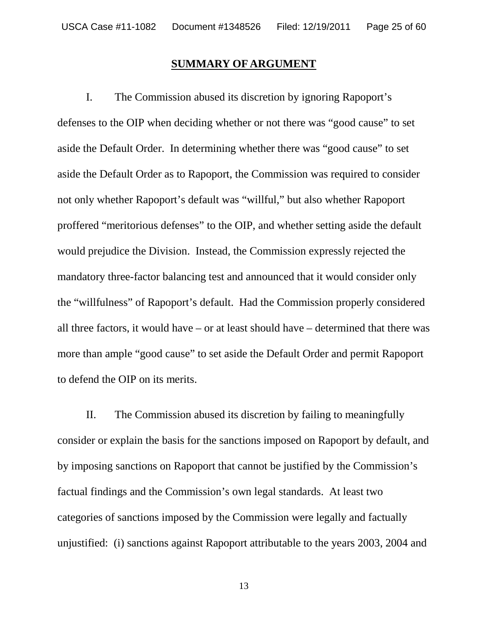#### **SUMMARY OF ARGUMENT**

I. The Commission abused its discretion by ignoring Rapoport's defenses to the OIP when deciding whether or not there was "good cause" to set aside the Default Order. In determining whether there was "good cause" to set aside the Default Order as to Rapoport, the Commission was required to consider not only whether Rapoport's default was "willful," but also whether Rapoport proffered "meritorious defenses" to the OIP, and whether setting aside the default would prejudice the Division. Instead, the Commission expressly rejected the mandatory three-factor balancing test and announced that it would consider only the "willfulness" of Rapoport's default. Had the Commission properly considered all three factors, it would have – or at least should have – determined that there was more than ample "good cause" to set aside the Default Order and permit Rapoport to defend the OIP on its merits.

II. The Commission abused its discretion by failing to meaningfully consider or explain the basis for the sanctions imposed on Rapoport by default, and by imposing sanctions on Rapoport that cannot be justified by the Commission's factual findings and the Commission's own legal standards. At least two categories of sanctions imposed by the Commission were legally and factually unjustified: (i) sanctions against Rapoport attributable to the years 2003, 2004 and

13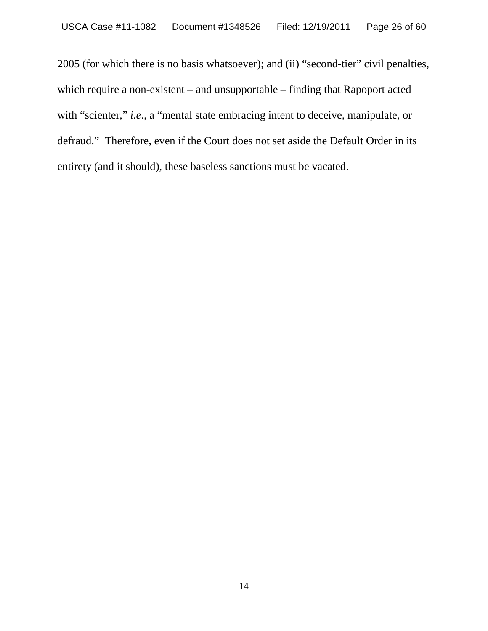2005 (for which there is no basis whatsoever); and (ii) "second-tier" civil penalties, which require a non-existent – and unsupportable – finding that Rapoport acted with "scienter," *i.e.*, a "mental state embracing intent to deceive, manipulate, or defraud." Therefore, even if the Court does not set aside the Default Order in its entirety (and it should), these baseless sanctions must be vacated.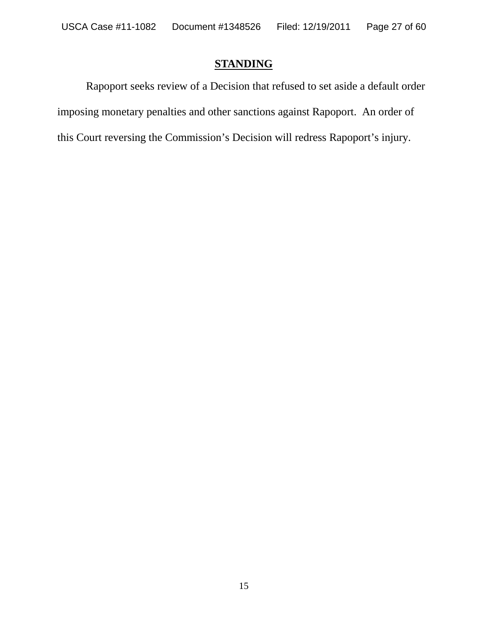# **STANDING**

Rapoport seeks review of a Decision that refused to set aside a default order imposing monetary penalties and other sanctions against Rapoport. An order of this Court reversing the Commission's Decision will redress Rapoport's injury.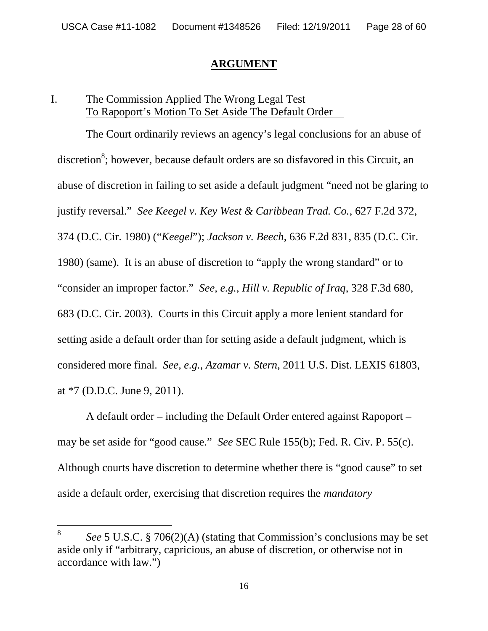### **ARGUMENT**

# I. The Commission Applied The Wrong Legal Test To Rapoport's Motion To Set Aside The Default Order

The Court ordinarily reviews an agency's legal conclusions for an abuse of discretion<sup>8</sup>; however, because default orders are so disfavored in this Circuit, an abuse of discretion in failing to set aside a default judgment "need not be glaring to justify reversal." *See Keegel v. Key West & Caribbean Trad. Co.*, 627 F.2d 372, 374 (D.C. Cir. 1980) ("*Keegel*"); *Jackson v. Beech*, 636 F.2d 831, 835 (D.C. Cir. 1980) (same). It is an abuse of discretion to "apply the wrong standard" or to "consider an improper factor." *See, e.g.*, *Hill v. Republic of Iraq*, 328 F.3d 680, 683 (D.C. Cir. 2003). Courts in this Circuit apply a more lenient standard for setting aside a default order than for setting aside a default judgment, which is considered more final. *See, e.g.*, *Azamar v. Stern*, 2011 U.S. Dist. LEXIS 61803, at \*7 (D.D.C. June 9, 2011).

A default order – including the Default Order entered against Rapoport – may be set aside for "good cause." *See* SEC Rule 155(b); Fed. R. Civ. P. 55(c). Although courts have discretion to determine whether there is "good cause" to set aside a default order, exercising that discretion requires the *mandatory*

<sup>8</sup> *See* 5 U.S.C. § 706(2)(A) (stating that Commission's conclusions may be set aside only if "arbitrary, capricious, an abuse of discretion, or otherwise not in accordance with law.")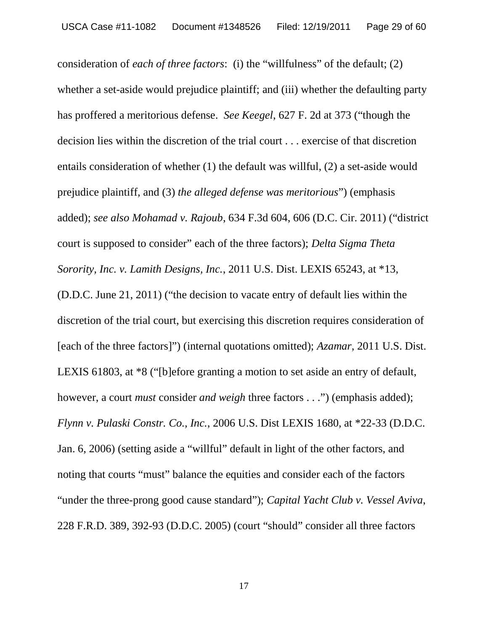consideration of *each of three factors*: (i) the "willfulness" of the default; (2) whether a set-aside would prejudice plaintiff; and (iii) whether the defaulting party has proffered a meritorious defense. *See Keegel*, 627 F. 2d at 373 ("though the decision lies within the discretion of the trial court . . . exercise of that discretion entails consideration of whether (1) the default was willful, (2) a set-aside would prejudice plaintiff, and (3) *the alleged defense was meritorious*") (emphasis added); *see also Mohamad v. Rajoub*, 634 F.3d 604, 606 (D.C. Cir. 2011) ("district court is supposed to consider" each of the three factors); *Delta Sigma Theta Sorority, Inc. v. Lamith Designs, Inc.*, 2011 U.S. Dist. LEXIS 65243, at \*13, (D.D.C. June 21, 2011) ("the decision to vacate entry of default lies within the discretion of the trial court, but exercising this discretion requires consideration of [each of the three factors]") (internal quotations omitted); *Azamar*, 2011 U.S. Dist. LEXIS 61803, at \*8 ("[b]efore granting a motion to set aside an entry of default, however, a court *must* consider *and* weigh three factors . . .") (emphasis added); *Flynn v. Pulaski Constr. Co., Inc.*, 2006 U.S. Dist LEXIS 1680, at \*22-33 (D.D.C. Jan. 6, 2006) (setting aside a "willful" default in light of the other factors, and noting that courts "must" balance the equities and consider each of the factors "under the three-prong good cause standard"); *Capital Yacht Club v. Vessel Aviva*, 228 F.R.D. 389, 392-93 (D.D.C. 2005) (court "should" consider all three factors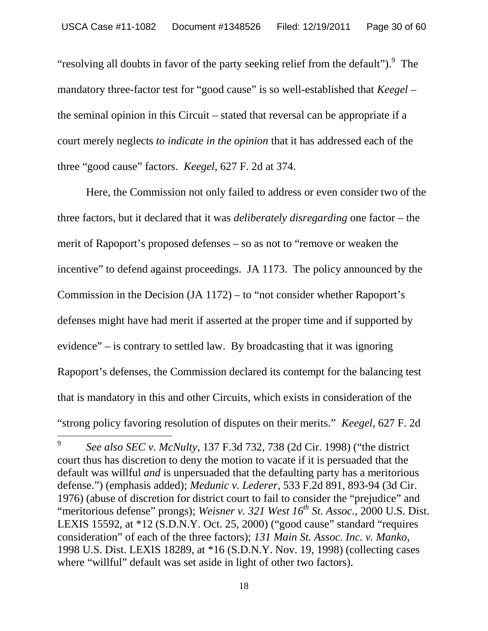"resolving all doubts in favor of the party seeking relief from the default"). $\degree$  The mandatory three-factor test for "good cause" is so well-established that *Keegel* – the seminal opinion in this Circuit – stated that reversal can be appropriate if a court merely neglects *to indicate in the opinion* that it has addressed each of the three "good cause" factors. *Keegel*, 627 F. 2d at 374.

Here, the Commission not only failed to address or even consider two of the three factors, but it declared that it was *deliberately disregarding* one factor – the merit of Rapoport's proposed defenses – so as not to "remove or weaken the incentive" to defend against proceedings. JA 1173. The policy announced by the Commission in the Decision (JA 1172) – to "not consider whether Rapoport's defenses might have had merit if asserted at the proper time and if supported by evidence" – is contrary to settled law. By broadcasting that it was ignoring Rapoport's defenses, the Commission declared its contempt for the balancing test that is mandatory in this and other Circuits, which exists in consideration of the "strong policy favoring resolution of disputes on their merits." *Keegel*, 627 F. 2d

<sup>9</sup> *See also SEC v. McNulty*, 137 F.3d 732, 738 (2d Cir. 1998) ("the district court thus has discretion to deny the motion to vacate if it is persuaded that the default was willful *and* is unpersuaded that the defaulting party has a meritorious defense.") (emphasis added); *Medunic v. Lederer,* 533 F.2d 891, 893-94 (3d Cir. 1976) (abuse of discretion for district court to fail to consider the "prejudice" and "meritorious defense" prongs); *Weisner v. 321 West 16th St. Assoc.*, 2000 U.S. Dist. LEXIS 15592, at \*12 (S.D.N.Y. Oct. 25, 2000) ("good cause" standard "requires consideration" of each of the three factors); *131 Main St. Assoc. Inc. v. Manko*, 1998 U.S. Dist. LEXIS 18289, at \*16 (S.D.N.Y. Nov. 19, 1998) (collecting cases where "willful" default was set aside in light of other two factors).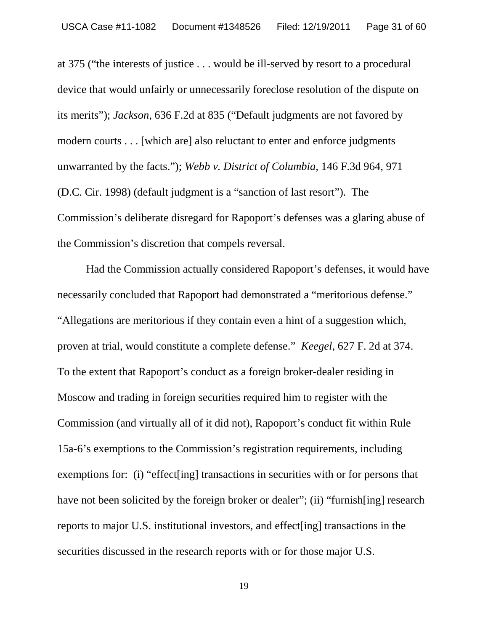at 375 ("the interests of justice . . . would be ill-served by resort to a procedural device that would unfairly or unnecessarily foreclose resolution of the dispute on its merits"); *Jackson*, 636 F.2d at 835 ("Default judgments are not favored by modern courts . . . [which are] also reluctant to enter and enforce judgments unwarranted by the facts."); *Webb v. District of Columbia,* 146 F.3d 964, 971 (D.C. Cir. 1998) (default judgment is a "sanction of last resort"). The Commission's deliberate disregard for Rapoport's defenses was a glaring abuse of the Commission's discretion that compels reversal.

Had the Commission actually considered Rapoport's defenses, it would have necessarily concluded that Rapoport had demonstrated a "meritorious defense." "Allegations are meritorious if they contain even a hint of a suggestion which, proven at trial, would constitute a complete defense." *Keegel*, 627 F. 2d at 374. To the extent that Rapoport's conduct as a foreign broker-dealer residing in Moscow and trading in foreign securities required him to register with the Commission (and virtually all of it did not), Rapoport's conduct fit within Rule 15a-6's exemptions to the Commission's registration requirements, including exemptions for: (i) "effect[ing] transactions in securities with or for persons that have not been solicited by the foreign broker or dealer"; (ii) "furnish[ing] research reports to major U.S. institutional investors, and effect[ing] transactions in the securities discussed in the research reports with or for those major U.S.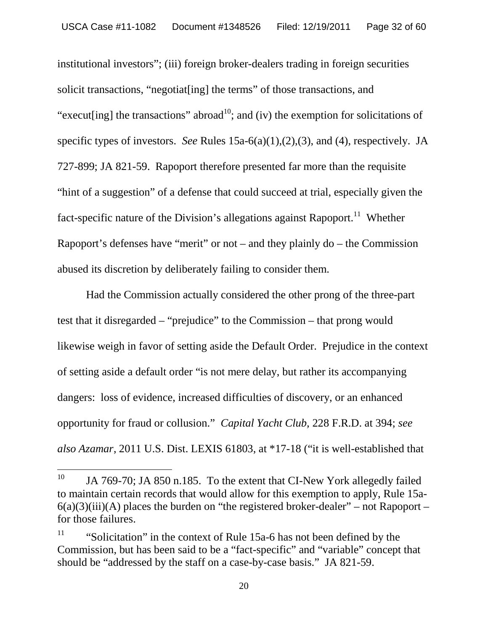institutional investors"; (iii) foreign broker-dealers trading in foreign securities solicit transactions, "negotiat[ing] the terms" of those transactions, and "execut [ing] the transactions" abroad<sup>10</sup>; and (iv) the exemption for solicitations of specific types of investors. *See* Rules 15a-6(a)(1),(2),(3), and (4), respectively. JA 727-899; JA 821-59. Rapoport therefore presented far more than the requisite "hint of a suggestion" of a defense that could succeed at trial, especially given the fact-specific nature of the Division's allegations against Rapoport.<sup>11</sup> Whether Rapoport's defenses have "merit" or not – and they plainly do – the Commission abused its discretion by deliberately failing to consider them.

Had the Commission actually considered the other prong of the three-part test that it disregarded – "prejudice" to the Commission – that prong would likewise weigh in favor of setting aside the Default Order. Prejudice in the context of setting aside a default order "is not mere delay, but rather its accompanying dangers: loss of evidence, increased difficulties of discovery, or an enhanced opportunity for fraud or collusion." *Capital Yacht Club,* 228 F.R.D. at 394; *see also Azamar*, 2011 U.S. Dist. LEXIS 61803, at \*17-18 ("it is well-established that

<sup>&</sup>lt;sup>10</sup> JA 769-70; JA 850 n.185. To the extent that CI-New York allegedly failed to maintain certain records that would allow for this exemption to apply, Rule 15a- $6(a)(3)(iii)(A)$  places the burden on "the registered broker-dealer" – not Rapoport – for those failures.

<sup>&</sup>lt;sup>11</sup> "Solicitation" in the context of Rule 15a-6 has not been defined by the Commission, but has been said to be a "fact-specific" and "variable" concept that should be "addressed by the staff on a case-by-case basis." JA 821-59.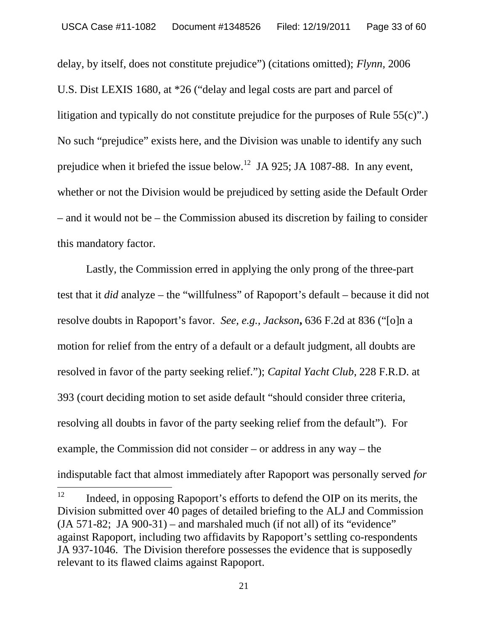delay, by itself, does not constitute prejudice") (citations omitted); *Flynn,* 2006 U.S. Dist LEXIS 1680, at \*26 ("delay and legal costs are part and parcel of litigation and typically do not constitute prejudice for the purposes of Rule 55(c)".) No such "prejudice" exists here, and the Division was unable to identify any such prejudice when it briefed the issue below.<sup>12</sup> JA 925; JA 1087-88. In any event, whether or not the Division would be prejudiced by setting aside the Default Order – and it would not be – the Commission abused its discretion by failing to consider this mandatory factor.

Lastly, the Commission erred in applying the only prong of the three-part test that it *did* analyze – the "willfulness" of Rapoport's default – because it did not resolve doubts in Rapoport's favor. *See, e.g., Jackson***,** 636 F.2d at 836 ("[o]n a motion for relief from the entry of a default or a default judgment, all doubts are resolved in favor of the party seeking relief."); *Capital Yacht Club*, 228 F.R.D. at 393 (court deciding motion to set aside default "should consider three criteria, resolving all doubts in favor of the party seeking relief from the default"). For example, the Commission did not consider – or address in any way – the indisputable fact that almost immediately after Rapoport was personally served *for*

 $12$  Indeed, in opposing Rapoport's efforts to defend the OIP on its merits, the Division submitted over 40 pages of detailed briefing to the ALJ and Commission  $(JA 571-82; JA 900-31)$  – and marshaled much (if not all) of its "evidence" against Rapoport, including two affidavits by Rapoport's settling co-respondents JA 937-1046. The Division therefore possesses the evidence that is supposedly relevant to its flawed claims against Rapoport.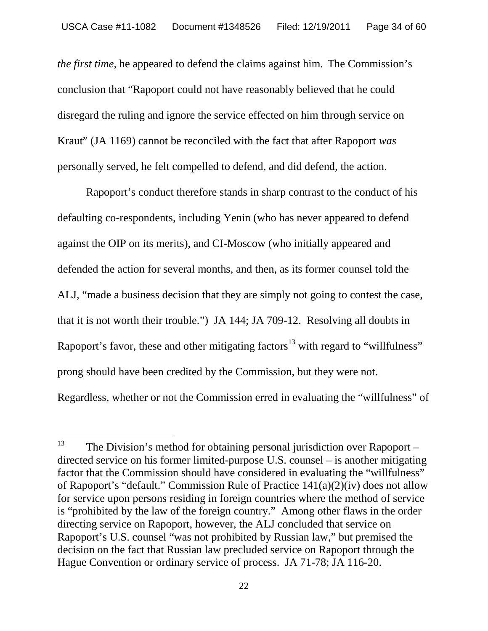*the first time*, he appeared to defend the claims against him. The Commission's conclusion that "Rapoport could not have reasonably believed that he could disregard the ruling and ignore the service effected on him through service on Kraut" (JA 1169) cannot be reconciled with the fact that after Rapoport *was* personally served, he felt compelled to defend, and did defend, the action.

Rapoport's conduct therefore stands in sharp contrast to the conduct of his defaulting co-respondents, including Yenin (who has never appeared to defend against the OIP on its merits), and CI-Moscow (who initially appeared and defended the action for several months, and then, as its former counsel told the ALJ, "made a business decision that they are simply not going to contest the case, that it is not worth their trouble.") JA 144; JA 709-12. Resolving all doubts in Rapoport's favor, these and other mitigating factors<sup>13</sup> with regard to "willfulness" prong should have been credited by the Commission, but they were not. Regardless, whether or not the Commission erred in evaluating the "willfulness" of

 $13$  The Division's method for obtaining personal jurisdiction over Rapoport – directed service on his former limited-purpose U.S. counsel – is another mitigating factor that the Commission should have considered in evaluating the "willfulness" of Rapoport's "default." Commission Rule of Practice 141(a)(2)(iv) does not allow for service upon persons residing in foreign countries where the method of service is "prohibited by the law of the foreign country." Among other flaws in the order directing service on Rapoport, however, the ALJ concluded that service on Rapoport's U.S. counsel "was not prohibited by Russian law," but premised the decision on the fact that Russian law precluded service on Rapoport through the Hague Convention or ordinary service of process. JA 71-78; JA 116-20.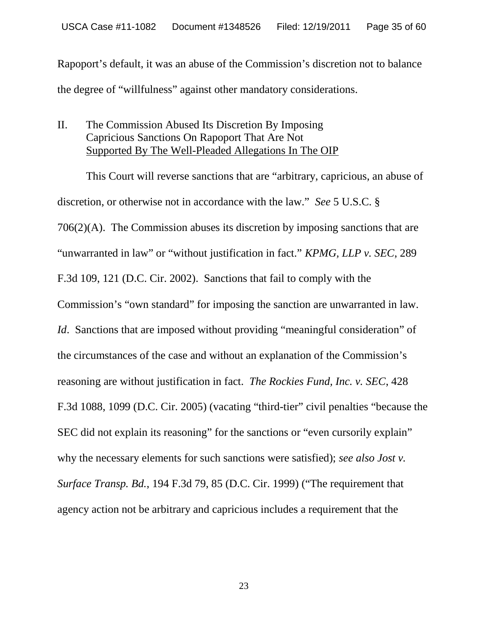Rapoport's default, it was an abuse of the Commission's discretion not to balance the degree of "willfulness" against other mandatory considerations.

# II. The Commission Abused Its Discretion By Imposing Capricious Sanctions On Rapoport That Are Not Supported By The Well-Pleaded Allegations In The OIP

This Court will reverse sanctions that are "arbitrary, capricious, an abuse of discretion, or otherwise not in accordance with the law." *See* 5 U.S.C. § 706(2)(A). The Commission abuses its discretion by imposing sanctions that are "unwarranted in law" or "without justification in fact." *KPMG, LLP v. SEC*, 289 F.3d 109, 121 (D.C. Cir. 2002). Sanctions that fail to comply with the Commission's "own standard" for imposing the sanction are unwarranted in law. *Id.* Sanctions that are imposed without providing "meaningful consideration" of the circumstances of the case and without an explanation of the Commission's reasoning are without justification in fact. *The Rockies Fund, Inc. v. SEC*, 428 F.3d 1088, 1099 (D.C. Cir. 2005) (vacating "third-tier" civil penalties "because the SEC did not explain its reasoning" for the sanctions or "even cursorily explain" why the necessary elements for such sanctions were satisfied); *see also Jost v. Surface Transp. Bd.*, 194 F.3d 79, 85 (D.C. Cir. 1999) ("The requirement that agency action not be arbitrary and capricious includes a requirement that the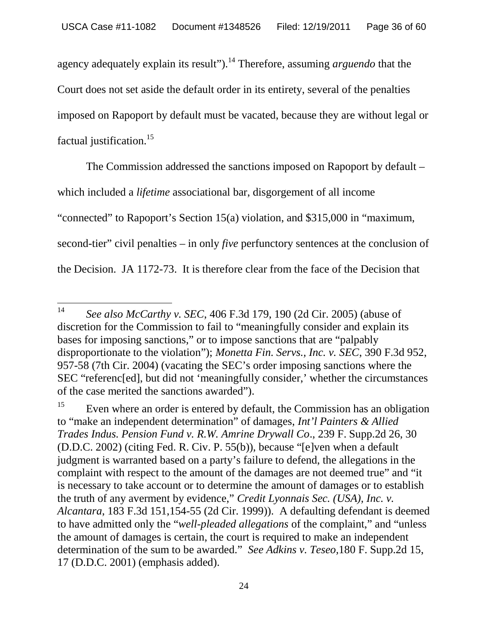agency adequately explain its result").<sup>14</sup> Therefore, assuming *arguendo* that the Court does not set aside the default order in its entirety, several of the penalties imposed on Rapoport by default must be vacated, because they are without legal or factual justification.<sup>15</sup>

The Commission addressed the sanctions imposed on Rapoport by default – which included a *lifetime* associational bar, disgorgement of all income "connected" to Rapoport's Section 15(a) violation, and \$315,000 in "maximum, second-tier" civil penalties – in only *five* perfunctory sentences at the conclusion of the Decision. JA 1172-73. It is therefore clear from the face of the Decision that

<sup>14</sup> *See also McCarthy v. SEC*, 406 F.3d 179, 190 (2d Cir. 2005) (abuse of discretion for the Commission to fail to "meaningfully consider and explain its bases for imposing sanctions," or to impose sanctions that are "palpably disproportionate to the violation"); *Monetta Fin. Servs., Inc. v. SEC*, 390 F.3d 952, 957-58 (7th Cir. 2004) (vacating the SEC's order imposing sanctions where the SEC "referenc[ed], but did not 'meaningfully consider,' whether the circumstances of the case merited the sanctions awarded").

<sup>&</sup>lt;sup>15</sup> Even where an order is entered by default, the Commission has an obligation to "make an independent determination" of damages, *Int'l Painters & Allied Trades Indus. Pension Fund v. R.W. Amrine Drywall Co*., 239 F. Supp.2d 26, 30 (D.D.C. 2002) (citing Fed. R. Civ. P. 55(b)), because "[e]ven when a default judgment is warranted based on a party's failure to defend, the allegations in the complaint with respect to the amount of the damages are not deemed true" and "it is necessary to take account or to determine the amount of damages or to establish the truth of any averment by evidence," *Credit Lyonnais Sec. (USA), Inc. v. Alcantara*, 183 F.3d 151,154-55 (2d Cir. 1999)). A defaulting defendant is deemed to have admitted only the "*well-pleaded allegations* of the complaint," and "unless the amount of damages is certain, the court is required to make an independent determination of the sum to be awarded." *See Adkins v. Teseo,*180 F. Supp.2d 15, 17 (D.D.C. 2001) (emphasis added).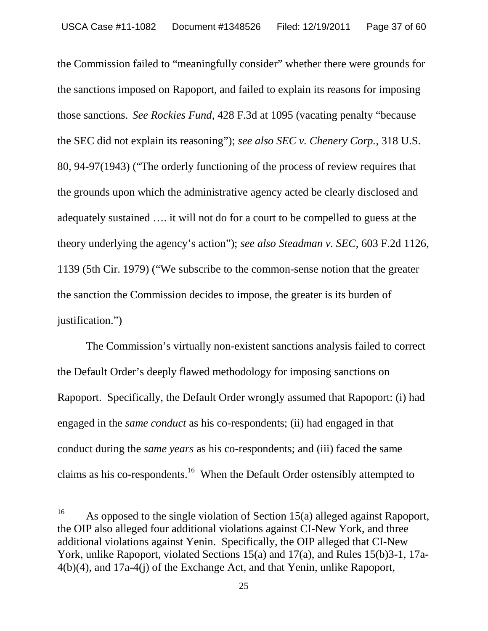the Commission failed to "meaningfully consider" whether there were grounds for the sanctions imposed on Rapoport, and failed to explain its reasons for imposing those sanctions. *See Rockies Fund*, 428 F.3d at 1095 (vacating penalty "because the SEC did not explain its reasoning"); *see also SEC v. Chenery Corp.*, 318 U.S. 80, 94-97(1943) ("The orderly functioning of the process of review requires that the grounds upon which the administrative agency acted be clearly disclosed and adequately sustained …. it will not do for a court to be compelled to guess at the theory underlying the agency's action"); *see also Steadman v. SEC*, 603 F.2d 1126, 1139 (5th Cir. 1979) ("We subscribe to the common-sense notion that the greater the sanction the Commission decides to impose, the greater is its burden of justification.")

The Commission's virtually non-existent sanctions analysis failed to correct the Default Order's deeply flawed methodology for imposing sanctions on Rapoport. Specifically, the Default Order wrongly assumed that Rapoport: (i) had engaged in the *same conduct* as his co-respondents; (ii) had engaged in that conduct during the *same years* as his co-respondents; and (iii) faced the same claims as his co-respondents.<sup>16</sup> When the Default Order ostensibly attempted to

<sup>&</sup>lt;sup>16</sup> As opposed to the single violation of Section 15(a) alleged against Rapoport, the OIP also alleged four additional violations against CI-New York, and three additional violations against Yenin. Specifically, the OIP alleged that CI-New York, unlike Rapoport, violated Sections 15(a) and 17(a), and Rules 15(b)3-1, 17a-4(b)(4), and 17a-4(j) of the Exchange Act, and that Yenin, unlike Rapoport,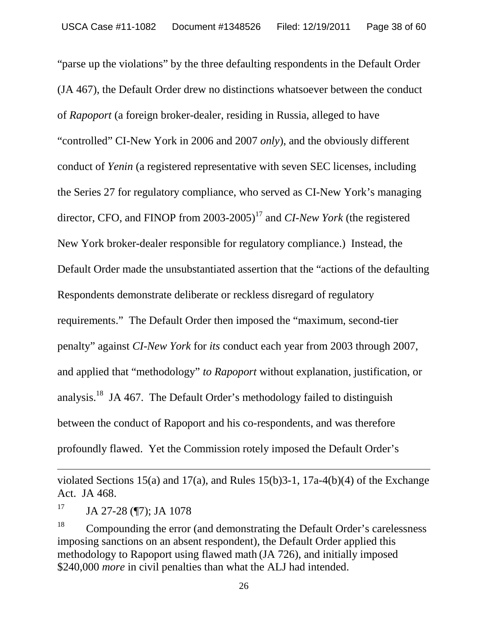"parse up the violations" by the three defaulting respondents in the Default Order (JA 467), the Default Order drew no distinctions whatsoever between the conduct of *Rapoport* (a foreign broker-dealer, residing in Russia, alleged to have "controlled" CI-New York in 2006 and 2007 *only*), and the obviously different conduct of *Yenin* (a registered representative with seven SEC licenses, including the Series 27 for regulatory compliance, who served as CI-New York's managing director, CFO, and FINOP from 2003-2005)<sup>17</sup> and *CI-New York* (the registered New York broker-dealer responsible for regulatory compliance.) Instead, the Default Order made the unsubstantiated assertion that the "actions of the defaulting Respondents demonstrate deliberate or reckless disregard of regulatory requirements." The Default Order then imposed the "maximum, second-tier penalty" against *CI-New York* for *its* conduct each year from 2003 through 2007, and applied that "methodology" *to Rapoport* without explanation, justification, or analysis.<sup>18</sup> JA 467. The Default Order's methodology failed to distinguish between the conduct of Rapoport and his co-respondents, and was therefore profoundly flawed. Yet the Commission rotely imposed the Default Order's

violated Sections 15(a) and 17(a), and Rules 15(b)3-1, 17a-4(b)(4) of the Exchange Act. JA 468.

 $17$  JA 27-28 (¶7); JA 1078

<sup>&</sup>lt;sup>18</sup> Compounding the error (and demonstrating the Default Order's carelessness imposing sanctions on an absent respondent), the Default Order applied this methodology to Rapoport using flawed math (JA 726), and initially imposed \$240,000 *more* in civil penalties than what the ALJ had intended.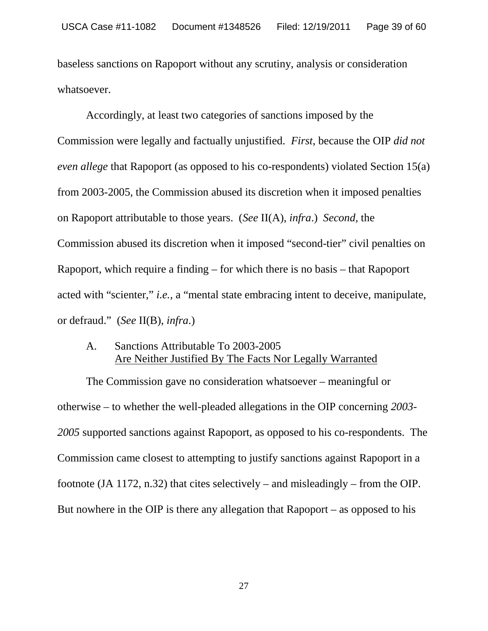baseless sanctions on Rapoport without any scrutiny, analysis or consideration whatsoever.

Accordingly, at least two categories of sanctions imposed by the Commission were legally and factually unjustified. *First*, because the OIP *did not even allege* that Rapoport (as opposed to his co-respondents) violated Section 15(a) from 2003-2005, the Commission abused its discretion when it imposed penalties on Rapoport attributable to those years. (*See* II(A), *infra*.) *Second,* the Commission abused its discretion when it imposed "second-tier" civil penalties on Rapoport, which require a finding – for which there is no basis – that Rapoport acted with "scienter," *i.e.,* a "mental state embracing intent to deceive, manipulate, or defraud." (*See* II(B), *infra*.)

# A. Sanctions Attributable To 2003-2005 Are Neither Justified By The Facts Nor Legally Warranted

The Commission gave no consideration whatsoever – meaningful or otherwise – to whether the well-pleaded allegations in the OIP concerning *2003- 2005* supported sanctions against Rapoport, as opposed to his co-respondents. The Commission came closest to attempting to justify sanctions against Rapoport in a footnote (JA 1172, n.32) that cites selectively – and misleadingly – from the OIP. But nowhere in the OIP is there any allegation that Rapoport – as opposed to his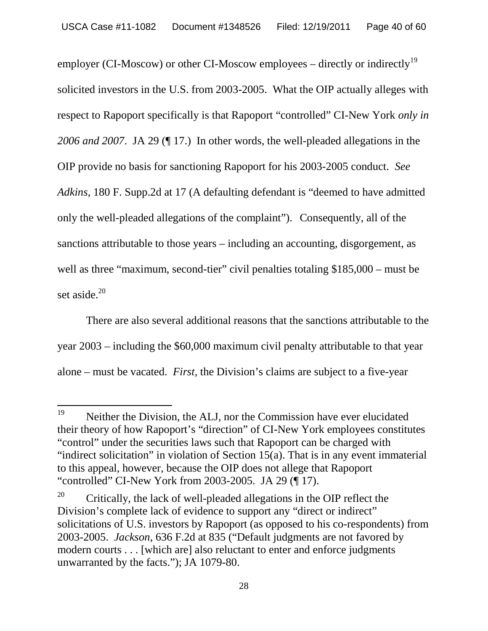employer (CI-Moscow) or other CI-Moscow employees – directly or indirectly<sup>19</sup> solicited investors in the U.S. from 2003-2005. What the OIP actually alleges with respect to Rapoport specifically is that Rapoport "controlled" CI-New York *only in 2006 and 2007*. JA 29 (¶ 17.) In other words, the well-pleaded allegations in the OIP provide no basis for sanctioning Rapoport for his 2003-2005 conduct. *See Adkins*, 180 F. Supp.2d at 17 (A defaulting defendant is "deemed to have admitted only the well-pleaded allegations of the complaint"). Consequently, all of the sanctions attributable to those years – including an accounting, disgorgement, as well as three "maximum, second-tier" civil penalties totaling \$185,000 – must be set aside. $20$ 

There are also several additional reasons that the sanctions attributable to the year 2003 – including the \$60,000 maximum civil penalty attributable to that year alone – must be vacated. *First,* the Division's claims are subject to a five-year

<sup>&</sup>lt;sup>19</sup> Neither the Division, the ALJ, nor the Commission have ever elucidated their theory of how Rapoport's "direction" of CI-New York employees constitutes "control" under the securities laws such that Rapoport can be charged with "indirect solicitation" in violation of Section 15(a). That is in any event immaterial to this appeal, however, because the OIP does not allege that Rapoport "controlled" CI-New York from 2003-2005. JA 29 (¶ 17).

<sup>&</sup>lt;sup>20</sup> Critically, the lack of well-pleaded allegations in the OIP reflect the Division's complete lack of evidence to support any "direct or indirect" solicitations of U.S. investors by Rapoport (as opposed to his co-respondents) from 2003-2005. *Jackson*, 636 F.2d at 835 ("Default judgments are not favored by modern courts . . . [which are] also reluctant to enter and enforce judgments unwarranted by the facts."); JA 1079-80.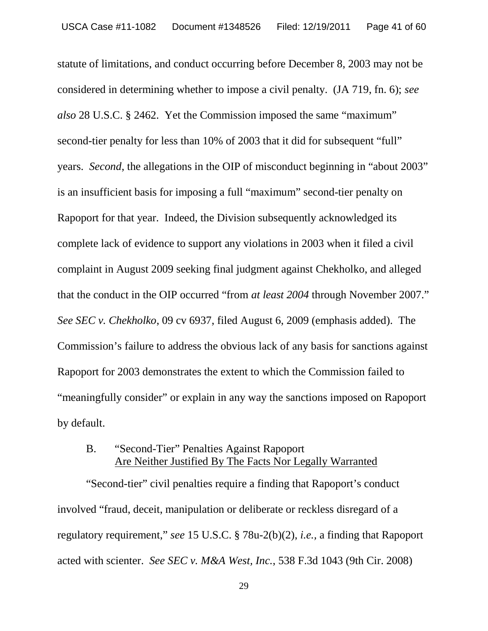statute of limitations, and conduct occurring before December 8, 2003 may not be considered in determining whether to impose a civil penalty. (JA 719, fn. 6); *see also* 28 U.S.C. § 2462. Yet the Commission imposed the same "maximum" second-tier penalty for less than 10% of 2003 that it did for subsequent "full" years. *Second*, the allegations in the OIP of misconduct beginning in "about 2003" is an insufficient basis for imposing a full "maximum" second-tier penalty on Rapoport for that year. Indeed, the Division subsequently acknowledged its complete lack of evidence to support any violations in 2003 when it filed a civil complaint in August 2009 seeking final judgment against Chekholko, and alleged that the conduct in the OIP occurred "from *at least 2004* through November 2007." *See SEC v. Chekholko*, 09 cv 6937, filed August 6, 2009 (emphasis added). The Commission's failure to address the obvious lack of any basis for sanctions against Rapoport for 2003 demonstrates the extent to which the Commission failed to "meaningfully consider" or explain in any way the sanctions imposed on Rapoport by default.

# B. "Second-Tier" Penalties Against Rapoport Are Neither Justified By The Facts Nor Legally Warranted

"Second-tier" civil penalties require a finding that Rapoport's conduct involved "fraud, deceit, manipulation or deliberate or reckless disregard of a regulatory requirement," *see* 15 U.S.C. § 78u-2(b)(2), *i.e.,* a finding that Rapoport acted with scienter. *See SEC v. M&A West, Inc.*, 538 F.3d 1043 (9th Cir. 2008)

29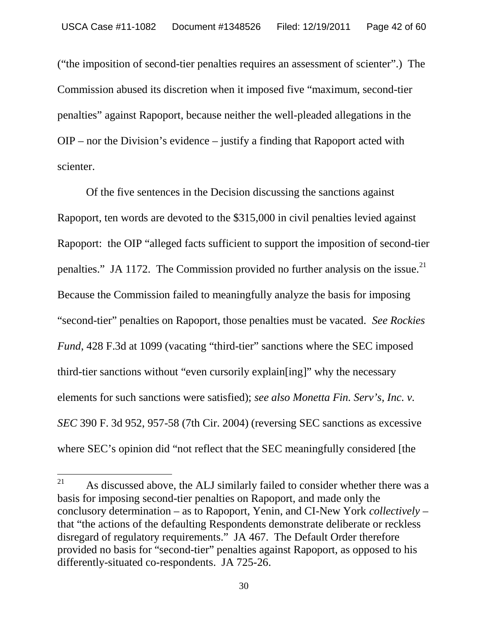("the imposition of second-tier penalties requires an assessment of scienter".) The Commission abused its discretion when it imposed five "maximum, second-tier penalties" against Rapoport, because neither the well-pleaded allegations in the OIP – nor the Division's evidence – justify a finding that Rapoport acted with scienter.

Of the five sentences in the Decision discussing the sanctions against Rapoport, ten words are devoted to the \$315,000 in civil penalties levied against Rapoport: the OIP "alleged facts sufficient to support the imposition of second-tier penalties." JA 1172. The Commission provided no further analysis on the issue.<sup>21</sup> Because the Commission failed to meaningfully analyze the basis for imposing "second-tier" penalties on Rapoport, those penalties must be vacated. *See Rockies Fund*, 428 F.3d at 1099 (vacating "third-tier" sanctions where the SEC imposed third-tier sanctions without "even cursorily explain[ing]" why the necessary elements for such sanctions were satisfied); *see also Monetta Fin. Serv's, Inc. v. SEC* 390 F. 3d 952, 957-58 (7th Cir. 2004) (reversing SEC sanctions as excessive where SEC's opinion did "not reflect that the SEC meaningfully considered [the

 $21$  As discussed above, the ALJ similarly failed to consider whether there was a basis for imposing second-tier penalties on Rapoport, and made only the conclusory determination – as to Rapoport, Yenin, and CI-New York *collectively* – that "the actions of the defaulting Respondents demonstrate deliberate or reckless disregard of regulatory requirements." JA 467. The Default Order therefore provided no basis for "second-tier" penalties against Rapoport, as opposed to his differently-situated co-respondents. JA 725-26.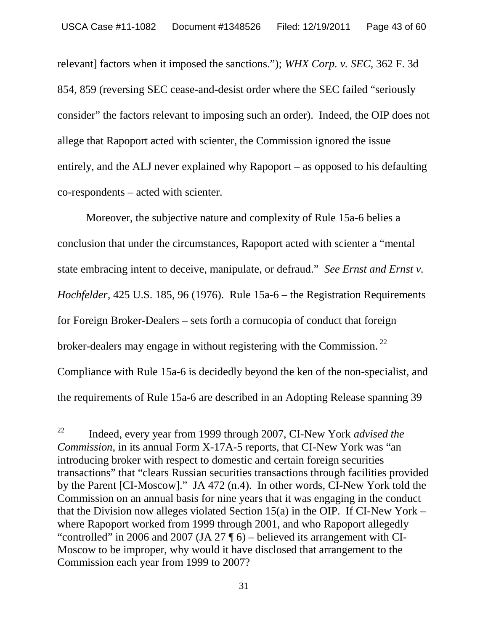relevant] factors when it imposed the sanctions."); *WHX Corp. v. SEC*, 362 F. 3d 854, 859 (reversing SEC cease-and-desist order where the SEC failed "seriously consider" the factors relevant to imposing such an order). Indeed, the OIP does not allege that Rapoport acted with scienter, the Commission ignored the issue entirely, and the ALJ never explained why Rapoport – as opposed to his defaulting co-respondents – acted with scienter.

Moreover, the subjective nature and complexity of Rule 15a-6 belies a conclusion that under the circumstances, Rapoport acted with scienter a "mental state embracing intent to deceive, manipulate, or defraud." *See Ernst and Ernst v. Hochfelder,* 425 U.S. 185, 96 (1976). Rule 15a-6 – the Registration Requirements for Foreign Broker-Dealers – sets forth a cornucopia of conduct that foreign broker-dealers may engage in without registering with the Commission.<sup>22</sup> Compliance with Rule 15a-6 is decidedly beyond the ken of the non-specialist, and the requirements of Rule 15a-6 are described in an Adopting Release spanning 39

<sup>22</sup> Indeed, every year from 1999 through 2007, CI-New York *advised the Commission*, in its annual Form X-17A-5 reports, that CI-New York was "an introducing broker with respect to domestic and certain foreign securities transactions" that "clears Russian securities transactions through facilities provided by the Parent [CI-Moscow]." JA 472 (n.4). In other words, CI-New York told the Commission on an annual basis for nine years that it was engaging in the conduct that the Division now alleges violated Section  $15(a)$  in the OIP. If CI-New York – where Rapoport worked from 1999 through 2001, and who Rapoport allegedly "controlled" in 2006 and 2007 (JA 27  $\P$  6) – believed its arrangement with CI-Moscow to be improper, why would it have disclosed that arrangement to the Commission each year from 1999 to 2007?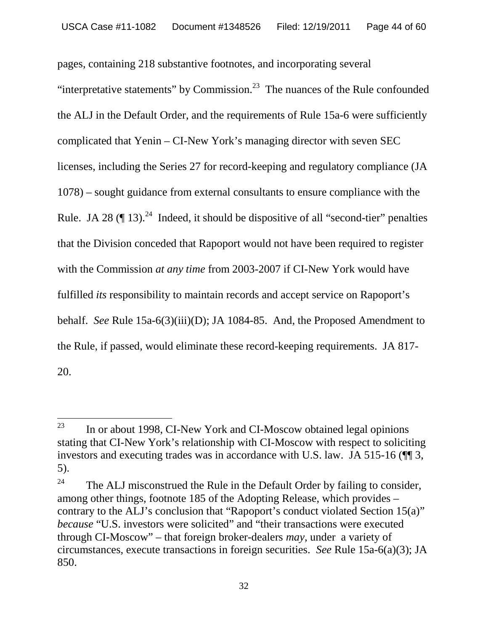pages, containing 218 substantive footnotes, and incorporating several "interpretative statements" by Commission. $^{23}$  The nuances of the Rule confounded the ALJ in the Default Order, and the requirements of Rule 15a-6 were sufficiently complicated that Yenin – CI-New York's managing director with seven SEC licenses, including the Series 27 for record-keeping and regulatory compliance (JA 1078) – sought guidance from external consultants to ensure compliance with the Rule. JA 28  $(\P 13)^{24}$  Indeed, it should be dispositive of all "second-tier" penalties that the Division conceded that Rapoport would not have been required to register with the Commission *at any time* from 2003-2007 if CI-New York would have fulfilled *its* responsibility to maintain records and accept service on Rapoport's behalf. *See* Rule 15a-6(3)(iii)(D); JA 1084-85. And, the Proposed Amendment to the Rule, if passed, would eliminate these record-keeping requirements. JA 817- 20.

 $23$  In or about 1998, CI-New York and CI-Moscow obtained legal opinions stating that CI-New York's relationship with CI-Moscow with respect to soliciting investors and executing trades was in accordance with U.S. law. JA 515-16 ( $\P$ ] 3, 5).

<sup>&</sup>lt;sup>24</sup> The ALJ misconstrued the Rule in the Default Order by failing to consider, among other things, footnote 185 of the Adopting Release, which provides – contrary to the ALJ's conclusion that "Rapoport's conduct violated Section 15(a)" *because* "U.S. investors were solicited" and "their transactions were executed through CI-Moscow" – that foreign broker-dealers *may*, under a variety of circumstances, execute transactions in foreign securities. *See* Rule 15a-6(a)(3); JA 850.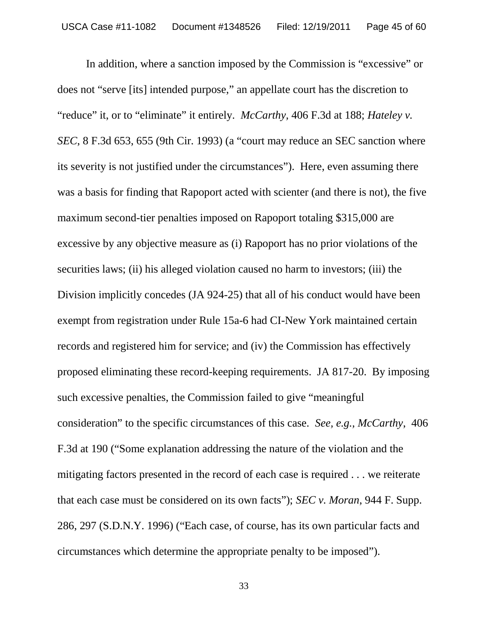In addition, where a sanction imposed by the Commission is "excessive" or does not "serve [its] intended purpose," an appellate court has the discretion to "reduce" it, or to "eliminate" it entirely. *McCarthy,* 406 F.3d at 188; *Hateley v. SEC*, 8 F.3d 653, 655 (9th Cir. 1993) (a "court may reduce an SEC sanction where its severity is not justified under the circumstances"). Here, even assuming there was a basis for finding that Rapoport acted with scienter (and there is not), the five maximum second-tier penalties imposed on Rapoport totaling \$315,000 are excessive by any objective measure as (i) Rapoport has no prior violations of the securities laws; (ii) his alleged violation caused no harm to investors; (iii) the Division implicitly concedes (JA 924-25) that all of his conduct would have been exempt from registration under Rule 15a-6 had CI-New York maintained certain records and registered him for service; and (iv) the Commission has effectively proposed eliminating these record-keeping requirements. JA 817-20. By imposing such excessive penalties, the Commission failed to give "meaningful consideration" to the specific circumstances of this case. *See, e.g., McCarthy*, 406 F.3d at 190 ("Some explanation addressing the nature of the violation and the mitigating factors presented in the record of each case is required . . . we reiterate that each case must be considered on its own facts"); *SEC v. Moran*, 944 F. Supp. 286, 297 (S.D.N.Y. 1996) ("Each case, of course, has its own particular facts and circumstances which determine the appropriate penalty to be imposed").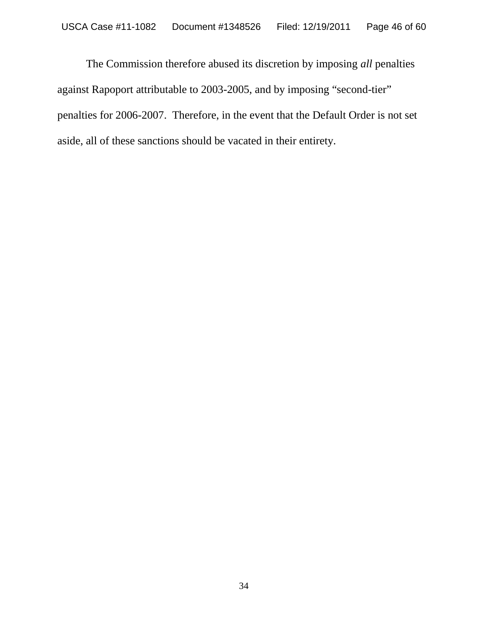The Commission therefore abused its discretion by imposing *all* penalties against Rapoport attributable to 2003-2005, and by imposing "second-tier" penalties for 2006-2007. Therefore, in the event that the Default Order is not set aside, all of these sanctions should be vacated in their entirety.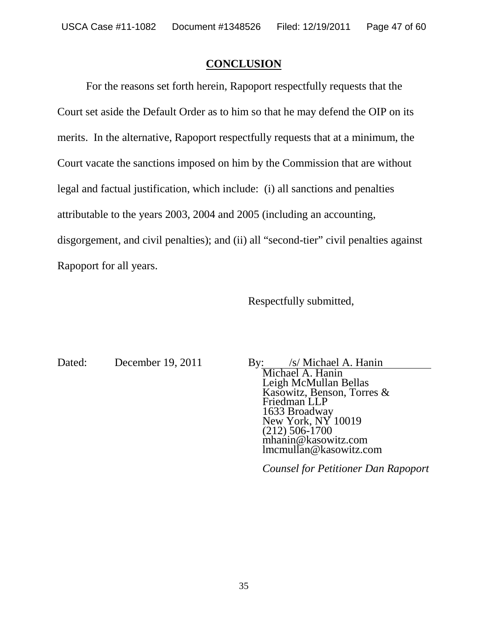### **CONCLUSION**

For the reasons set forth herein, Rapoport respectfully requests that the Court set aside the Default Order as to him so that he may defend the OIP on its merits. In the alternative, Rapoport respectfully requests that at a minimum, the Court vacate the sanctions imposed on him by the Commission that are without legal and factual justification, which include: (i) all sanctions and penalties attributable to the years 2003, 2004 and 2005 (including an accounting, disgorgement, and civil penalties); and (ii) all "second-tier" civil penalties against Rapoport for all years.

Respectfully submitted,

Dated: December 19, 2011 By: /s/ Michael A. Hanin

Michael A. Hanin Leigh McMullan Bellas Kasowitz, Benson, Torres & Friedman LLP 1633 Broadway New York, NY 10019 (212) 506-1700 mhanin@kasowitz.com lmcmullan@kasowitz.com

*Counsel for Petitioner Dan Rapoport*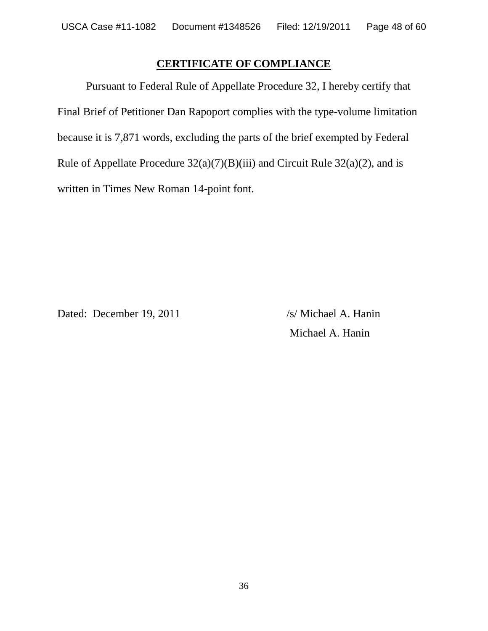# **CERTIFICATE OF COMPLIANCE**

Pursuant to Federal Rule of Appellate Procedure 32, I hereby certify that Final Brief of Petitioner Dan Rapoport complies with the type-volume limitation because it is 7,871 words, excluding the parts of the brief exempted by Federal Rule of Appellate Procedure  $32(a)(7)(B)(iii)$  and Circuit Rule  $32(a)(2)$ , and is written in Times New Roman 14-point font.

Dated: December 19, 2011 /s/ Michael A. Hanin

Michael A. Hanin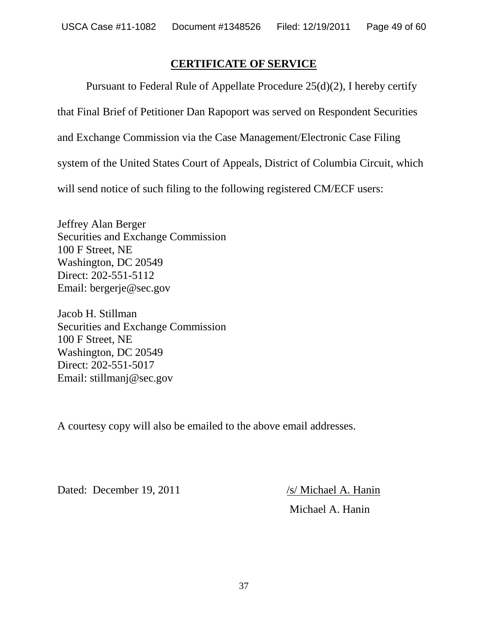# **CERTIFICATE OF SERVICE**

Pursuant to Federal Rule of Appellate Procedure 25(d)(2), I hereby certify

that Final Brief of Petitioner Dan Rapoport was served on Respondent Securities

and Exchange Commission via the Case Management/Electronic Case Filing

system of the United States Court of Appeals, District of Columbia Circuit, which

will send notice of such filing to the following registered CM/ECF users:

Jeffrey Alan Berger Securities and Exchange Commission 100 F Street, NE Washington, DC 20549 Direct: 202-551-5112 Email: bergerje@sec.gov

Jacob H. Stillman Securities and Exchange Commission 100 F Street, NE Washington, DC 20549 Direct: 202-551-5017 Email: stillmanj@sec.gov

A courtesy copy will also be emailed to the above email addresses.

Dated: December 19, 2011 /s/ Michael A. Hanin

Michael A. Hanin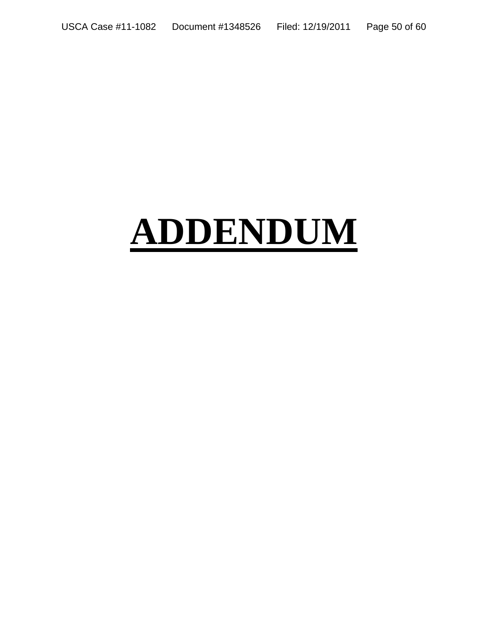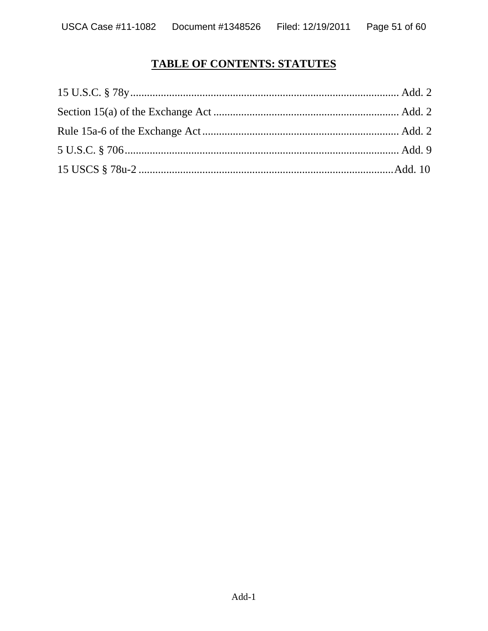# **TABLE OF CONTENTS: STATUTES**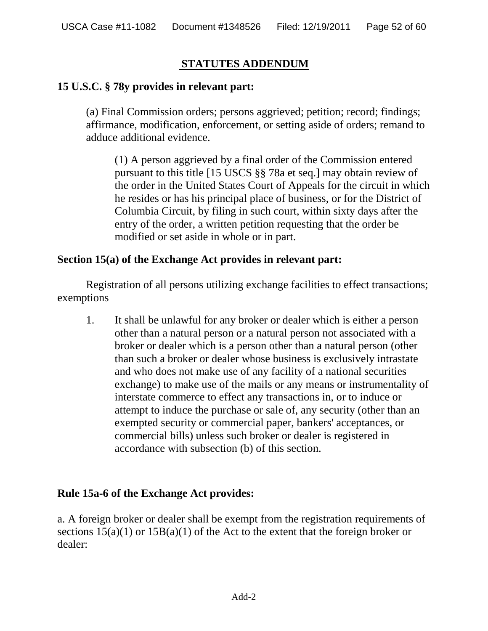# **STATUTES ADDENDUM**

# **15 U.S.C. § 78y provides in relevant part:**

(a) Final Commission orders; persons aggrieved; petition; record; findings; affirmance, modification, enforcement, or setting aside of orders; remand to adduce additional evidence.

(1) A person aggrieved by a final order of the Commission entered pursuant to this title [15 USCS §§ 78a et seq.] may obtain review of the order in the United States Court of Appeals for the circuit in which he resides or has his principal place of business, or for the District of Columbia Circuit, by filing in such court, within sixty days after the entry of the order, a written petition requesting that the order be modified or set aside in whole or in part.

### **Section 15(a) of the Exchange Act provides in relevant part:**

Registration of all persons utilizing exchange facilities to effect transactions; exemptions

1. It shall be unlawful for any broker or dealer which is either a person other than a natural person or a natural person not associated with a broker or dealer which is a person other than a natural person (other than such a broker or dealer whose business is exclusively intrastate and who does not make use of any facility of a national securities exchange) to make use of the mails or any means or instrumentality of interstate commerce to effect any transactions in, or to induce or attempt to induce the purchase or sale of, any security (other than an exempted security or commercial paper, bankers' acceptances, or commercial bills) unless such broker or dealer is registered in accordance with subsection (b) of this section.

### **Rule 15a-6 of the Exchange Act provides:**

a. A foreign broker or dealer shall be exempt from the registration requirements of sections  $15(a)(1)$  or  $15B(a)(1)$  of the Act to the extent that the foreign broker or dealer: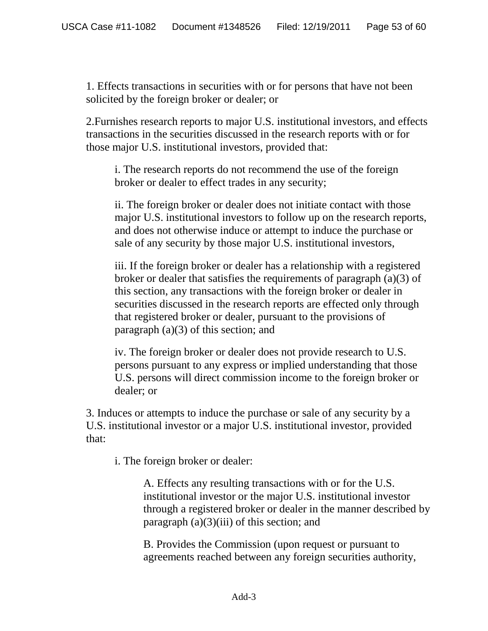1. Effects transactions in securities with or for persons that have not been solicited by the foreign broker or dealer; or

2.Furnishes research reports to major U.S. institutional investors, and effects transactions in the securities discussed in the research reports with or for those major U.S. institutional investors, provided that:

i. The research reports do not recommend the use of the foreign broker or dealer to effect trades in any security;

ii. The foreign broker or dealer does not initiate contact with those major U.S. institutional investors to follow up on the research reports, and does not otherwise induce or attempt to induce the purchase or sale of any security by those major U.S. institutional investors,

iii. If the foreign broker or dealer has a relationship with a registered broker or dealer that satisfies the requirements of paragraph (a)(3) of this section, any transactions with the foreign broker or dealer in securities discussed in the research reports are effected only through that registered broker or dealer, pursuant to the provisions of paragraph (a)(3) of this section; and

iv. The foreign broker or dealer does not provide research to U.S. persons pursuant to any express or implied understanding that those U.S. persons will direct commission income to the foreign broker or dealer; or

3. Induces or attempts to induce the purchase or sale of any security by a U.S. institutional investor or a major U.S. institutional investor, provided that:

i. The foreign broker or dealer:

A. Effects any resulting transactions with or for the U.S. institutional investor or the major U.S. institutional investor through a registered broker or dealer in the manner described by paragraph  $(a)(3)(iii)$  of this section; and

B. Provides the Commission (upon request or pursuant to agreements reached between any foreign securities authority,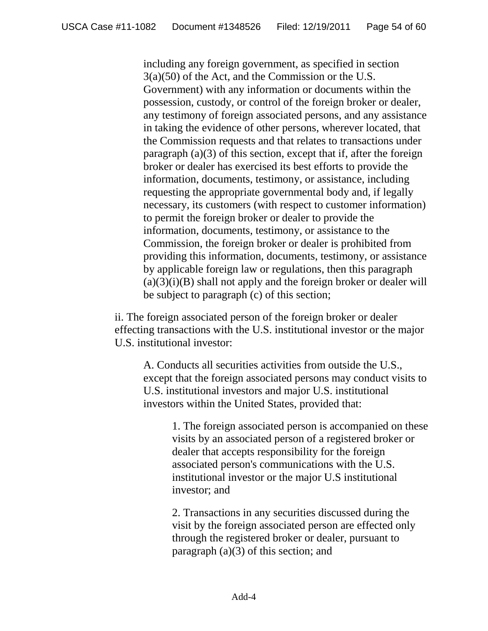including any foreign government, as specified in section 3(a)(50) of the Act, and the Commission or the U.S. Government) with any information or documents within the possession, custody, or control of the foreign broker or dealer, any testimony of foreign associated persons, and any assistance in taking the evidence of other persons, wherever located, that the Commission requests and that relates to transactions under paragraph (a)(3) of this section, except that if, after the foreign broker or dealer has exercised its best efforts to provide the information, documents, testimony, or assistance, including requesting the appropriate governmental body and, if legally necessary, its customers (with respect to customer information) to permit the foreign broker or dealer to provide the information, documents, testimony, or assistance to the Commission, the foreign broker or dealer is prohibited from providing this information, documents, testimony, or assistance by applicable foreign law or regulations, then this paragraph  $(a)(3)(i)(B)$  shall not apply and the foreign broker or dealer will be subject to paragraph (c) of this section;

ii. The foreign associated person of the foreign broker or dealer effecting transactions with the U.S. institutional investor or the major U.S. institutional investor:

A. Conducts all securities activities from outside the U.S., except that the foreign associated persons may conduct visits to U.S. institutional investors and major U.S. institutional investors within the United States, provided that:

1. The foreign associated person is accompanied on these visits by an associated person of a registered broker or dealer that accepts responsibility for the foreign associated person's communications with the U.S. institutional investor or the major U.S institutional investor; and

2. Transactions in any securities discussed during the visit by the foreign associated person are effected only through the registered broker or dealer, pursuant to paragraph (a)(3) of this section; and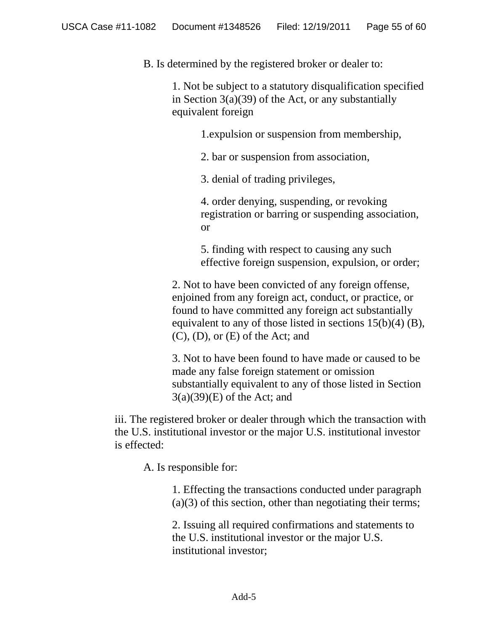B. Is determined by the registered broker or dealer to:

1. Not be subject to a statutory disqualification specified in Section  $3(a)(39)$  of the Act, or any substantially equivalent foreign

1.expulsion or suspension from membership,

2. bar or suspension from association,

3. denial of trading privileges,

4. order denying, suspending, or revoking registration or barring or suspending association, or

5. finding with respect to causing any such effective foreign suspension, expulsion, or order;

2. Not to have been convicted of any foreign offense, enjoined from any foreign act, conduct, or practice, or found to have committed any foreign act substantially equivalent to any of those listed in sections  $15(b)(4)$  (B), (C), (D), or (E) of the Act; and

3. Not to have been found to have made or caused to be made any false foreign statement or omission substantially equivalent to any of those listed in Section 3(a)(39)(E) of the Act; and

iii. The registered broker or dealer through which the transaction with the U.S. institutional investor or the major U.S. institutional investor is effected:

A. Is responsible for:

1. Effecting the transactions conducted under paragraph  $(a)(3)$  of this section, other than negotiating their terms;

2. Issuing all required confirmations and statements to the U.S. institutional investor or the major U.S. institutional investor;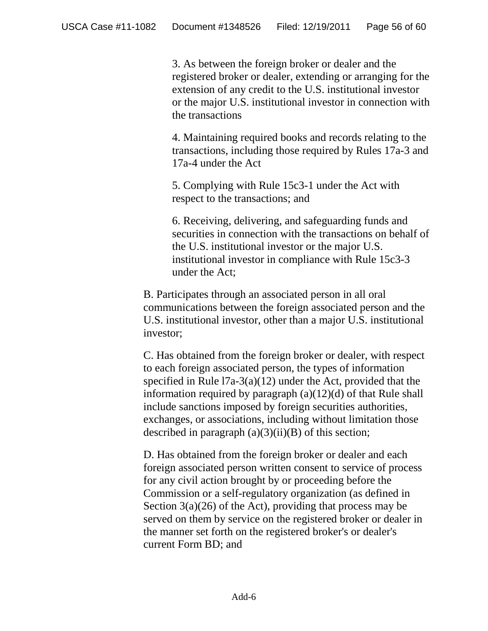3. As between the foreign broker or dealer and the registered broker or dealer, extending or arranging for the extension of any credit to the U.S. institutional investor or the major U.S. institutional investor in connection with the transactions

4. Maintaining required books and records relating to the transactions, including those required by Rules 17a-3 and 17a-4 under the Act

5. Complying with Rule 15c3-1 under the Act with respect to the transactions; and

6. Receiving, delivering, and safeguarding funds and securities in connection with the transactions on behalf of the U.S. institutional investor or the major U.S. institutional investor in compliance with Rule 15c3-3 under the Act;

B. Participates through an associated person in all oral communications between the foreign associated person and the U.S. institutional investor, other than a major U.S. institutional investor;

C. Has obtained from the foreign broker or dealer, with respect to each foreign associated person, the types of information specified in Rule l7a-3(a)(12) under the Act, provided that the information required by paragraph (a)(12)(d) of that Rule shall include sanctions imposed by foreign securities authorities, exchanges, or associations, including without limitation those described in paragraph  $(a)(3)(ii)(B)$  of this section;

D. Has obtained from the foreign broker or dealer and each foreign associated person written consent to service of process for any civil action brought by or proceeding before the Commission or a self-regulatory organization (as defined in Section 3(a)(26) of the Act), providing that process may be served on them by service on the registered broker or dealer in the manner set forth on the registered broker's or dealer's current Form BD; and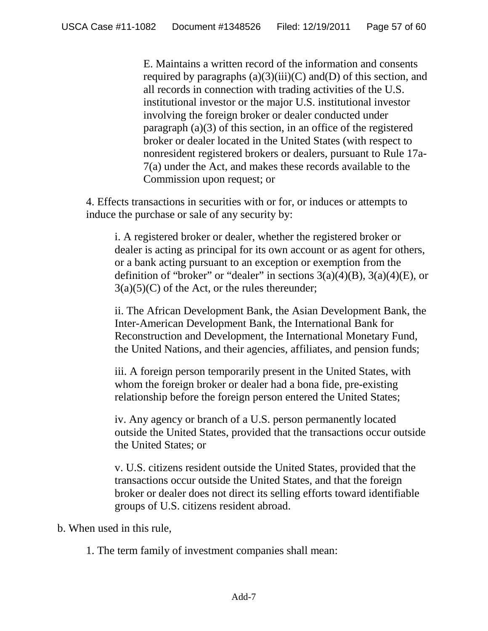E. Maintains a written record of the information and consents required by paragraphs  $(a)(3)(iii)(C)$  and  $(D)$  of this section, and all records in connection with trading activities of the U.S. institutional investor or the major U.S. institutional investor involving the foreign broker or dealer conducted under paragraph (a)(3) of this section, in an office of the registered broker or dealer located in the United States (with respect to nonresident registered brokers or dealers, pursuant to Rule 17a-7(a) under the Act, and makes these records available to the Commission upon request; or

4. Effects transactions in securities with or for, or induces or attempts to induce the purchase or sale of any security by:

i. A registered broker or dealer, whether the registered broker or dealer is acting as principal for its own account or as agent for others, or a bank acting pursuant to an exception or exemption from the definition of "broker" or "dealer" in sections  $3(a)(4)(B)$ ,  $3(a)(4)(E)$ , or  $3(a)(5)(C)$  of the Act, or the rules thereunder;

ii. The African Development Bank, the Asian Development Bank, the Inter-American Development Bank, the International Bank for Reconstruction and Development, the International Monetary Fund, the United Nations, and their agencies, affiliates, and pension funds;

iii. A foreign person temporarily present in the United States, with whom the foreign broker or dealer had a bona fide, pre-existing relationship before the foreign person entered the United States;

iv. Any agency or branch of a U.S. person permanently located outside the United States, provided that the transactions occur outside the United States; or

v. U.S. citizens resident outside the United States, provided that the transactions occur outside the United States, and that the foreign broker or dealer does not direct its selling efforts toward identifiable groups of U.S. citizens resident abroad.

b. When used in this rule,

1. The term family of investment companies shall mean: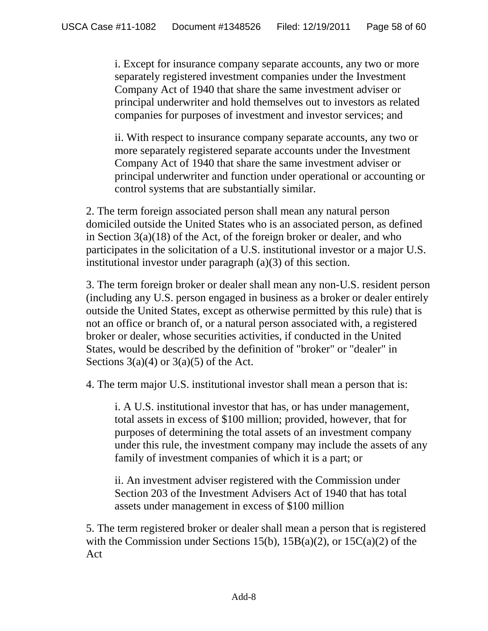i. Except for insurance company separate accounts, any two or more separately registered investment companies under the Investment Company Act of 1940 that share the same investment adviser or principal underwriter and hold themselves out to investors as related companies for purposes of investment and investor services; and

ii. With respect to insurance company separate accounts, any two or more separately registered separate accounts under the Investment Company Act of 1940 that share the same investment adviser or principal underwriter and function under operational or accounting or control systems that are substantially similar.

2. The term foreign associated person shall mean any natural person domiciled outside the United States who is an associated person, as defined in Section 3(a)(18) of the Act, of the foreign broker or dealer, and who participates in the solicitation of a U.S. institutional investor or a major U.S. institutional investor under paragraph (a)(3) of this section.

3. The term foreign broker or dealer shall mean any non-U.S. resident person (including any U.S. person engaged in business as a broker or dealer entirely outside the United States, except as otherwise permitted by this rule) that is not an office or branch of, or a natural person associated with, a registered broker or dealer, whose securities activities, if conducted in the United States, would be described by the definition of "broker" or "dealer" in Sections  $3(a)(4)$  or  $3(a)(5)$  of the Act.

4. The term major U.S. institutional investor shall mean a person that is:

i. A U.S. institutional investor that has, or has under management, total assets in excess of \$100 million; provided, however, that for purposes of determining the total assets of an investment company under this rule, the investment company may include the assets of any family of investment companies of which it is a part; or

ii. An investment adviser registered with the Commission under Section 203 of the Investment Advisers Act of 1940 that has total assets under management in excess of \$100 million

5. The term registered broker or dealer shall mean a person that is registered with the Commission under Sections 15(b),  $15B(a)(2)$ , or  $15C(a)(2)$  of the Act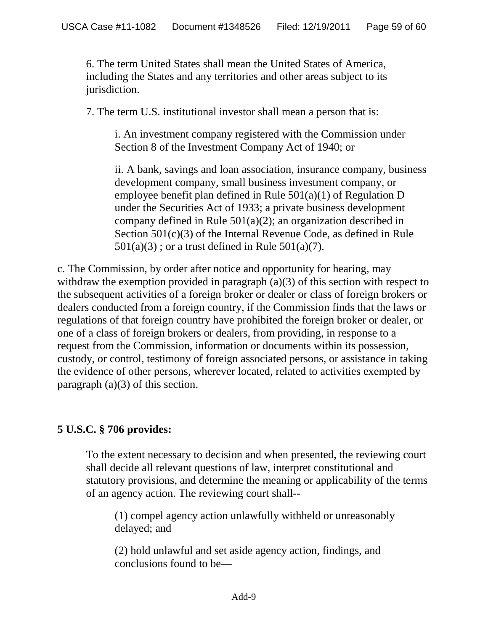6. The term United States shall mean the United States of America, including the States and any territories and other areas subject to its jurisdiction.

7. The term U.S. institutional investor shall mean a person that is:

i. An investment company registered with the Commission under Section 8 of the Investment Company Act of 1940; or

ii. A bank, savings and loan association, insurance company, business development company, small business investment company, or employee benefit plan defined in Rule 501(a)(1) of Regulation D under the Securities Act of 1933; a private business development company defined in Rule 501(a)(2); an organization described in Section 501(c)(3) of the Internal Revenue Code, as defined in Rule  $501(a)(3)$ ; or a trust defined in Rule  $501(a)(7)$ .

c. The Commission, by order after notice and opportunity for hearing, may withdraw the exemption provided in paragraph (a)(3) of this section with respect to the subsequent activities of a foreign broker or dealer or class of foreign brokers or dealers conducted from a foreign country, if the Commission finds that the laws or regulations of that foreign country have prohibited the foreign broker or dealer, or one of a class of foreign brokers or dealers, from providing, in response to a request from the Commission, information or documents within its possession, custody, or control, testimony of foreign associated persons, or assistance in taking the evidence of other persons, wherever located, related to activities exempted by paragraph  $(a)(3)$  of this section.

# **5 U.S.C. § 706 provides:**

To the extent necessary to decision and when presented, the reviewing court shall decide all relevant questions of law, interpret constitutional and statutory provisions, and determine the meaning or applicability of the terms of an agency action. The reviewing court shall--

(1) compel agency action unlawfully withheld or unreasonably delayed; and

(2) hold unlawful and set aside agency action, findings, and conclusions found to be